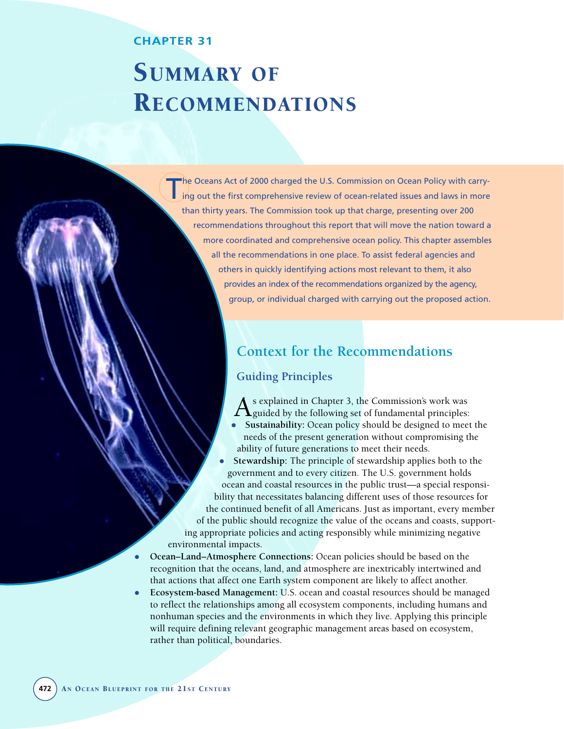# **CHAPTER 31**

# SUMMARY OF RECOMMENDATIONS

he Oceans Act of 2000 charged the U.S. Commission on Ocean Policy with carrying out the first comprehensive review of ocean-related issues and laws in more than thirty years. The Commission took up that charge, presenting over 200 recommendations throughout this report that will move the nation toward a more coordinated and comprehensive ocean policy. This chapter assembles all the recommendations in one place. To assist federal agencies and others in quickly identifying actions most relevant to them, it also provides an index of the recommendations organized by the agency, group, or individual charged with carrying out the proposed action.

# **Context for the Recommendations**

# **Guiding Principles**

- As explained in Chapter 3, the Commission's work was<br>guided by the following set of fundamental principles: • **Sustainability:** Ocean policy should be designed to meet the needs of the present generation without compromising the
- ability of future generations to meet their needs.
- **Stewardship:** The principle of stewardship applies both to the government and to every citizen. The U.S. government holds ocean and coastal resources in the public trust—a special responsibility that necessitates balancing different uses of those resources for the continued benefit of all Americans. Just as important, every member of the public should recognize the value of the oceans and coasts, supporting appropriate policies and acting responsibly while minimizing negative environmental impacts.
- **Ocean–Land–Atmosphere Connections:** Ocean policies should be based on the recognition that the oceans, land, and atmosphere are inextricably intertwined and that actions that affect one Earth system component are likely to affect another.
- **Ecosystem-based Management:** U.S. ocean and coastal resources should be managed to reflect the relationships among all ecosystem components, including humans and nonhuman species and the environments in which they live. Applying this principle will require defining relevant geographic management areas based on ecosystem, rather than political, boundaries.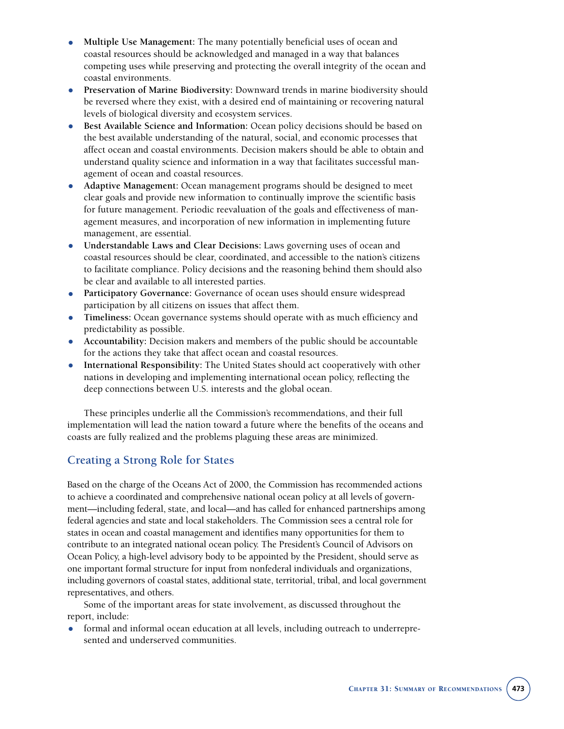- **Multiple Use Management:** The many potentially beneficial uses of ocean and coastal resources should be acknowledged and managed in a way that balances competing uses while preserving and protecting the overall integrity of the ocean and coastal environments.
- **Preservation of Marine Biodiversity:** Downward trends in marine biodiversity should be reversed where they exist, with a desired end of maintaining or recovering natural levels of biological diversity and ecosystem services.
- **Best Available Science and Information:** Ocean policy decisions should be based on the best available understanding of the natural, social, and economic processes that affect ocean and coastal environments. Decision makers should be able to obtain and understand quality science and information in a way that facilitates successful management of ocean and coastal resources.
- **Adaptive Management:** Ocean management programs should be designed to meet clear goals and provide new information to continually improve the scientific basis for future management. Periodic reevaluation of the goals and effectiveness of management measures, and incorporation of new information in implementing future management, are essential.
- **Understandable Laws and Clear Decisions:** Laws governing uses of ocean and coastal resources should be clear, coordinated, and accessible to the nation's citizens to facilitate compliance. Policy decisions and the reasoning behind them should also be clear and available to all interested parties.
- **Participatory Governance:** Governance of ocean uses should ensure widespread participation by all citizens on issues that affect them.
- **Timeliness:** Ocean governance systems should operate with as much efficiency and predictability as possible.
- **Accountability:** Decision makers and members of the public should be accountable for the actions they take that affect ocean and coastal resources.
- **International Responsibility:** The United States should act cooperatively with other nations in developing and implementing international ocean policy, reflecting the deep connections between U.S. interests and the global ocean.

These principles underlie all the Commission's recommendations, and their full implementation will lead the nation toward a future where the benefits of the oceans and coasts are fully realized and the problems plaguing these areas are minimized.

# **Creating a Strong Role for States**

Based on the charge of the Oceans Act of 2000, the Commission has recommended actions to achieve a coordinated and comprehensive national ocean policy at all levels of government—including federal, state, and local—and has called for enhanced partnerships among federal agencies and state and local stakeholders. The Commission sees a central role for states in ocean and coastal management and identifies many opportunities for them to contribute to an integrated national ocean policy. The President's Council of Advisors on Ocean Policy, a high-level advisory body to be appointed by the President, should serve as one important formal structure for input from nonfederal individuals and organizations, including governors of coastal states, additional state, territorial, tribal, and local government representatives, and others.

Some of the important areas for state involvement, as discussed throughout the report, include:

• formal and informal ocean education at all levels, including outreach to underrepresented and underserved communities.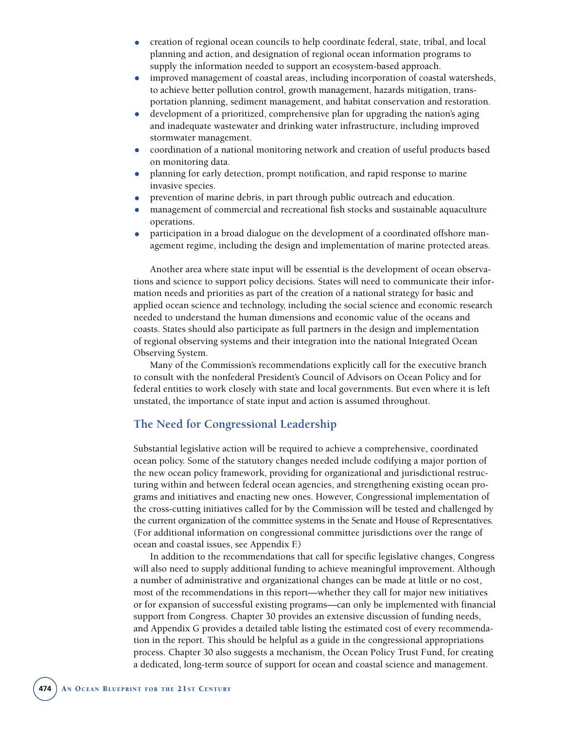- creation of regional ocean councils to help coordinate federal, state, tribal, and local planning and action, and designation of regional ocean information programs to supply the information needed to support an ecosystem-based approach.
- improved management of coastal areas, including incorporation of coastal watersheds, to achieve better pollution control, growth management, hazards mitigation, transportation planning, sediment management, and habitat conservation and restoration.
- development of a prioritized, comprehensive plan for upgrading the nation's aging and inadequate wastewater and drinking water infrastructure, including improved stormwater management.
- coordination of a national monitoring network and creation of useful products based on monitoring data.
- planning for early detection, prompt notification, and rapid response to marine invasive species.
- prevention of marine debris, in part through public outreach and education.
- management of commercial and recreational fish stocks and sustainable aquaculture operations.
- participation in a broad dialogue on the development of a coordinated offshore management regime, including the design and implementation of marine protected areas.

Another area where state input will be essential is the development of ocean observations and science to support policy decisions. States will need to communicate their information needs and priorities as part of the creation of a national strategy for basic and applied ocean science and technology, including the social science and economic research needed to understand the human dimensions and economic value of the oceans and coasts. States should also participate as full partners in the design and implementation of regional observing systems and their integration into the national Integrated Ocean Observing System.

Many of the Commission's recommendations explicitly call for the executive branch to consult with the nonfederal President's Council of Advisors on Ocean Policy and for federal entities to work closely with state and local governments. But even where it is left unstated, the importance of state input and action is assumed throughout.

# **The Need for Congressional Leadership**

Substantial legislative action will be required to achieve a comprehensive, coordinated ocean policy. Some of the statutory changes needed include codifying a major portion of the new ocean policy framework, providing for organizational and jurisdictional restructuring within and between federal ocean agencies, and strengthening existing ocean programs and initiatives and enacting new ones. However, Congressional implementation of the cross-cutting initiatives called for by the Commission will be tested and challenged by the current organization of the committee systems in the Senate and House of Representatives. (For additional information on congressional committee jurisdictions over the range of ocean and coastal issues, see Appendix F.)

In addition to the recommendations that call for specific legislative changes, Congress will also need to supply additional funding to achieve meaningful improvement. Although a number of administrative and organizational changes can be made at little or no cost, most of the recommendations in this report—whether they call for major new initiatives or for expansion of successful existing programs—can only be implemented with financial support from Congress. Chapter 30 provides an extensive discussion of funding needs, and Appendix G provides a detailed table listing the estimated cost of every recommendation in the report. This should be helpful as a guide in the congressional appropriations process. Chapter 30 also suggests a mechanism, the Ocean Policy Trust Fund, for creating a dedicated, long-term source of support for ocean and coastal science and management.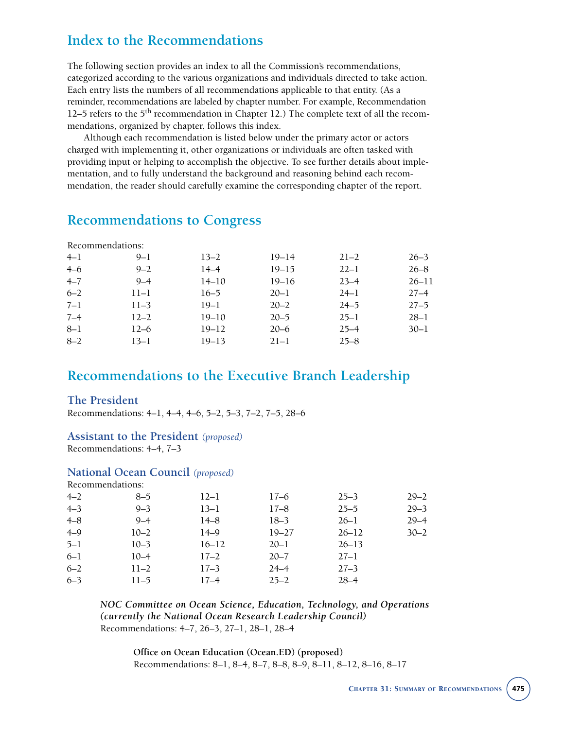# **Index to the Recommendations**

The following section provides an index to all the Commission's recommendations, categorized according to the various organizations and individuals directed to take action. Each entry lists the numbers of all recommendations applicable to that entity. (As a reminder, recommendations are labeled by chapter number. For example, Recommendation 12–5 refers to the 5<sup>th</sup> recommendation in Chapter 12.) The complete text of all the recommendations, organized by chapter, follows this index.

Although each recommendation is listed below under the primary actor or actors charged with implementing it, other organizations or individuals are often tasked with providing input or helping to accomplish the objective. To see further details about implementation, and to fully understand the background and reasoning behind each recommendation, the reader should carefully examine the corresponding chapter of the report.

| Recommendations: |          |           |           |          |           |
|------------------|----------|-----------|-----------|----------|-----------|
| $4 - 1$          | $9 - 1$  | $13 - 2$  | $19 - 14$ | $21 - 2$ | $26 - 3$  |
| $4 - 6$          | $9 - 2$  | $14 - 4$  | $19 - 15$ | $22 - 1$ | $26 - 8$  |
| $4 - 7$          | $9 - 4$  | $14 - 10$ | $19 - 16$ | $23 - 4$ | $26 - 11$ |
| $6 - 2$          | $11 - 1$ | $16 - 5$  | $20 - 1$  | $24 - 1$ | $27 - 4$  |
| $7 - 1$          | $11 - 3$ | $19 - 1$  | $20 - 2$  | $24 - 5$ | $27 - 5$  |
| $7 - 4$          | $12 - 2$ | $19 - 10$ | $20 - 5$  | $25 - 1$ | $28 - 1$  |
| $8 - 1$          | $12 - 6$ | $19 - 12$ | $20 - 6$  | $25 - 4$ | $30 - 1$  |
| $8 - 2$          | $13 - 1$ | $19 - 13$ | $21 - 1$  | $25 - 8$ |           |

# **Recommendations to Congress**

# **Recommendations to the Executive Branch Leadership**

# **The President**

Recommendations: 4–1, 4–4, 4–6, 5–2, 5–3, 7–2, 7–5, 28–6

# **Assistant to the President** *(proposed)*

Recommendations: 4–4, 7–3

# **National Ocean Council** *(proposed)*

| Recommendations: |          |           |           |           |          |
|------------------|----------|-----------|-----------|-----------|----------|
| $4 - 2$          | $8 - 5$  | $12 - 1$  | $17 - 6$  | $25 - 3$  | $29 - 2$ |
| $4 - 3$          | $9 - 3$  | $13 - 1$  | $17 - 8$  | $25 - 5$  | $29 - 3$ |
| $4 - 8$          | $9 - 4$  | $14 - 8$  | $18 - 3$  | $26 - 1$  | $29 - 4$ |
| $4 - 9$          | $10 - 2$ | $14 - 9$  | $19 - 27$ | $26 - 12$ | $30 - 2$ |
| $5 - 1$          | $10 - 3$ | $16 - 12$ | $20 - 1$  | $26 - 13$ |          |
| $6 - 1$          | $10 - 4$ | $17 - 2$  | $20 - 7$  | $27 - 1$  |          |
| $6 - 2$          | $11 - 2$ | $17 - 3$  | $24 - 4$  | $27 - 3$  |          |
| $6 - 3$          | 11–5     | $17 - 4$  | $25 - 2$  | $28 - 4$  |          |

*NOC Committee on Ocean Science, Education, Technology, and Operations (currently the National Ocean Research Leadership Council)* Recommendations: 4–7, 26–3, 27–1, 28–1, 28–4

**Office on Ocean Education (Ocean.ED) (proposed)** Recommendations: 8–1, 8–4, 8–7, 8–8, 8–9, 8–11, 8–12, 8–16, 8–17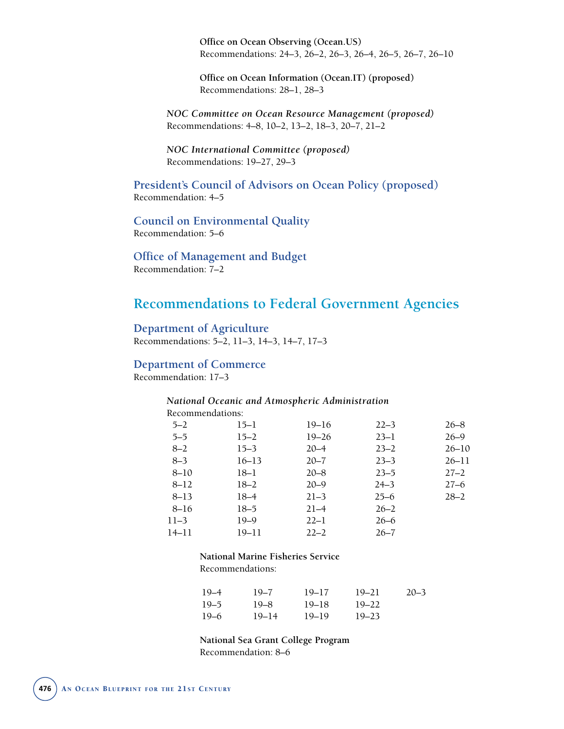**Office on Ocean Observing (Ocean.US)** Recommendations: 24–3, 26–2, 26–3, 26–4, 26–5, 26–7, 26–10

**Office on Ocean Information (Ocean.IT) (proposed)** Recommendations: 28–1, 28–3

*NOC Committee on Ocean Resource Management (proposed)* Recommendations: 4–8, 10–2, 13–2, 18–3, 20–7, 21–2

*NOC International Committee (proposed)* Recommendations: 19–27, 29–3

**President's Council of Advisors on Ocean Policy (proposed)** Recommendation: 4–5

**Council on Environmental Quality** Recommendation: 5–6

# **Office of Management and Budget** Recommendation: 7–2

# **Recommendations to Federal Government Agencies**

# **Department of Agriculture**

Recommendations: 5–2, 11–3, 14–3, 14–7, 17–3

# **Department of Commerce**

Recommendation: 17–3

# *National Oceanic and Atmospheric Administration*

Recommendations:

| $5 - 2$   | $15 - 1$  | $19 - 16$ | $22 - 3$ | $26 - 8$  |
|-----------|-----------|-----------|----------|-----------|
| $5 - 5$   | $15 - 2$  | $19 - 26$ | $23 - 1$ | $26 - 9$  |
| $8 - 2$   | $15 - 3$  | $20 - 4$  | $23 - 2$ | $26 - 10$ |
| $8 - 3$   | $16 - 13$ | $20 - 7$  | $23 - 3$ | $26 - 11$ |
| $8 - 10$  | $18-1$    | $20 - 8$  | $23 - 5$ | $27 - 2$  |
| $8 - 12$  | $18 - 2$  | $20 - 9$  | $24 - 3$ | $27 - 6$  |
| $8 - 13$  | $18 - 4$  | $21 - 3$  | $25 - 6$ | $28 - 2$  |
| $8 - 16$  | $18 - 5$  | $21 - 4$  | $26 - 2$ |           |
| $11 - 3$  | $19-9$    | $22 - 1$  | $26 - 6$ |           |
| $14 - 11$ | $19 - 11$ | $22 - 2$  | $26 - 7$ |           |

#### **National Marine Fisheries Service**

Recommendations:

| $19-4$   | 19–7  | $19 - 17$ | $19 - 21$ | $20 - 3$ |
|----------|-------|-----------|-----------|----------|
| $19 - 5$ | 19–8  | 19–18     | $19 - 22$ |          |
| $19-6$   | 19–14 | $19 - 19$ | $19 - 23$ |          |

**National Sea Grant College Program** Recommendation: 8–6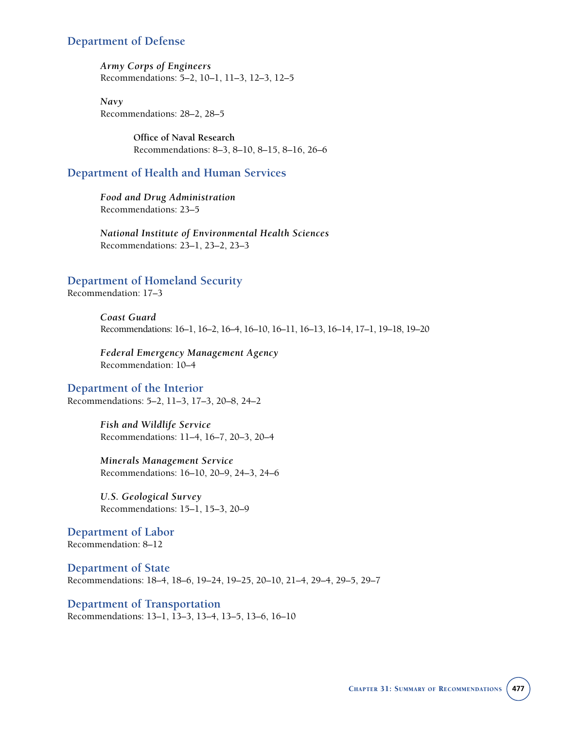# **Department of Defense**

*Army Corps of Engineers* Recommendations: 5–2, 10–1, 11–3, 12–3, 12–5

*Navy* Recommendations: 28–2, 28–5

> **Office of Naval Research** Recommendations: 8–3, 8–10, 8–15, 8–16, 26–6

# **Department of Health and Human Services**

*Food and Drug Administration* Recommendations: 23–5

*National Institute of Environmental Health Sciences* Recommendations: 23–1, 23–2, 23–3

# **Department of Homeland Security**

Recommendation: 17–3

*Coast Guard* Recommendations: 16–1, 16–2, 16–4, 16–10, 16–11, 16–13, 16–14, 17–1, 19–18, 19–20

*Federal Emergency Management Agency* Recommendation: 10–4

# **Department of the Interior**

Recommendations: 5–2, 11–3, 17–3, 20–8, 24–2

*Fish and Wildlife Service* Recommendations: 11–4, 16–7, 20–3, 20–4

*Minerals Management Service*  Recommendations: 16–10, 20–9, 24–3, 24–6

*U.S. Geological Survey* Recommendations: 15–1, 15–3, 20–9

**Department of Labor** Recommendation: 8–12

**Department of State** Recommendations: 18–4, 18–6, 19–24, 19–25, 20–10, 21–4, 29–4, 29–5, 29–7

**Department of Transportation** Recommendations: 13–1, 13–3, 13–4, 13–5, 13–6, 16–10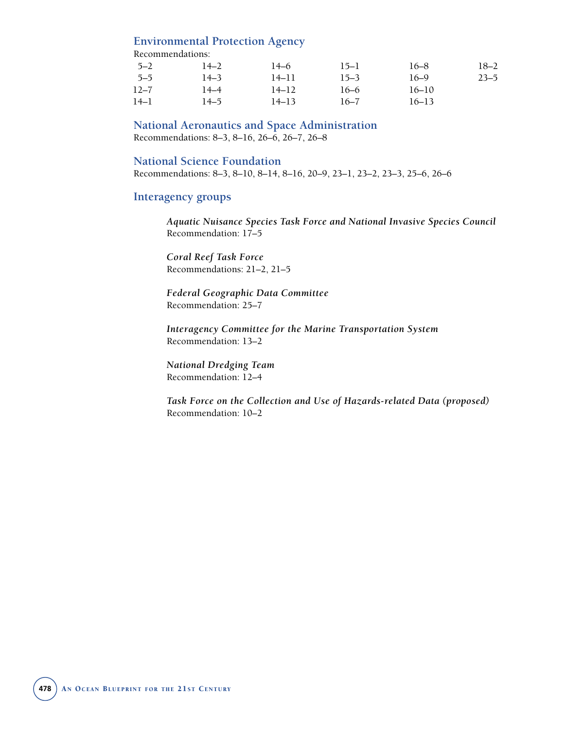# **Environmental Protection Agency**

Recommendations:

| $5 - 2$  | 14–2     | 14–6      | $15-1$ | $16 - 8$  | 18–2     |
|----------|----------|-----------|--------|-----------|----------|
| $5 - 5$  | $14 - 3$ | 14–11     | $15-3$ | 16-9      | $23 - 5$ |
| $12 - 7$ | 14–4     | $14 - 12$ | 16–6   | $16 - 10$ |          |
| $14 - 1$ | 14–5     | 14–13     | 16–7   | $16 - 13$ |          |

# **National Aeronautics and Space Administration**

Recommendations: 8–3, 8–16, 26–6, 26–7, 26–8

# **National Science Foundation**

Recommendations: 8–3, 8–10, 8–14, 8–16, 20–9, 23–1, 23–2, 23–3, 25–6, 26–6

# **Interagency groups**

*Aquatic Nuisance Species Task Force and National Invasive Species Council* Recommendation: 17–5

*Coral Reef Task Force* Recommendations: 21–2, 21–5

*Federal Geographic Data Committee* Recommendation: 25–7

*Interagency Committee for the Marine Transportation System* Recommendation: 13–2

*National Dredging Team*  Recommendation: 12–4

*Task Force on the Collection and Use of Hazards-related Data (proposed)* Recommendation: 10–2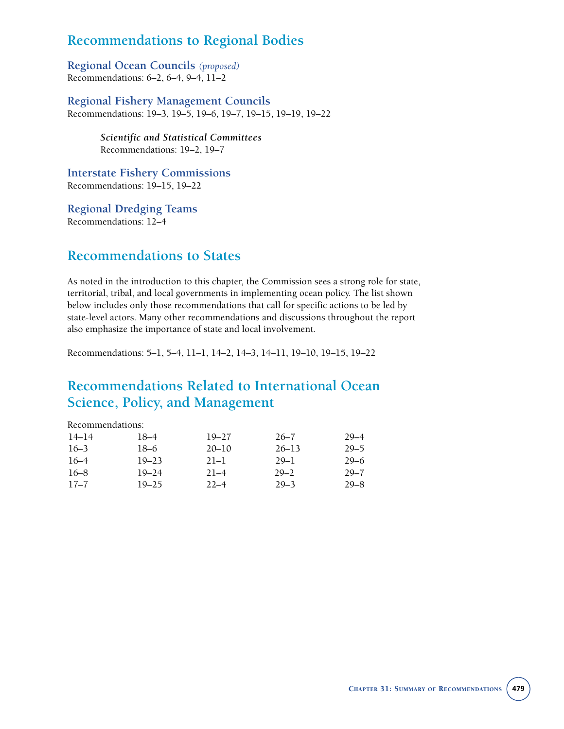# **Recommendations to Regional Bodies**

**Regional Ocean Councils** *(proposed)* Recommendations: 6–2, 6–4, 9–4, 11–2

**Regional Fishery Management Councils** Recommendations: 19–3, 19–5, 19–6, 19–7, 19–15, 19–19, 19–22

> *Scientific and Statistical Committees* Recommendations: 19–2, 19–7

**Interstate Fishery Commissions** Recommendations: 19–15, 19–22

**Regional Dredging Teams** Recommendations: 12–4

# **Recommendations to States**

As noted in the introduction to this chapter, the Commission sees a strong role for state, territorial, tribal, and local governments in implementing ocean policy. The list shown below includes only those recommendations that call for specific actions to be led by state-level actors. Many other recommendations and discussions throughout the report also emphasize the importance of state and local involvement.

Recommendations: 5–1, 5–4, 11–1, 14–2, 14–3, 14–11, 19–10, 19–15, 19–22

# **Recommendations Related to International Ocean Science, Policy, and Management**

| Recommendations: |  |  |  |  |  |  |
|------------------|--|--|--|--|--|--|
| $29 - 4$         |  |  |  |  |  |  |
| $29 - 5$         |  |  |  |  |  |  |
| $29 - 6$         |  |  |  |  |  |  |
| $29 - 7$         |  |  |  |  |  |  |
| $29 - 8$         |  |  |  |  |  |  |
|                  |  |  |  |  |  |  |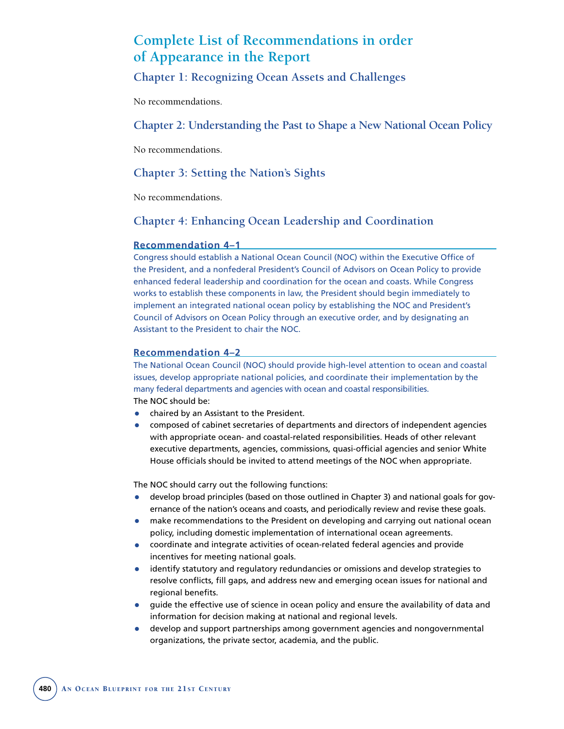# **Complete List of Recommendations in order of Appearance in the Report**

# **Chapter 1: Recognizing Ocean Assets and Challenges**

No recommendations.

# **Chapter 2: Understanding the Past to Shape a New National Ocean Policy**

No recommendations.

# **Chapter 3: Setting the Nation's Sights**

No recommendations.

# **Chapter 4: Enhancing Ocean Leadership and Coordination**

# **Recommendation 4–1**

Congress should establish a National Ocean Council (NOC) within the Executive Office of the President, and a nonfederal President's Council of Advisors on Ocean Policy to provide enhanced federal leadership and coordination for the ocean and coasts. While Congress works to establish these components in law, the President should begin immediately to implement an integrated national ocean policy by establishing the NOC and President's Council of Advisors on Ocean Policy through an executive order, and by designating an Assistant to the President to chair the NOC.

# **Recommendation 4–2**

The National Ocean Council (NOC) should provide high-level attention to ocean and coastal issues, develop appropriate national policies, and coordinate their implementation by the many federal departments and agencies with ocean and coastal responsibilities. The NOC should be:

- chaired by an Assistant to the President.
- composed of cabinet secretaries of departments and directors of independent agencies with appropriate ocean- and coastal-related responsibilities. Heads of other relevant executive departments, agencies, commissions, quasi-official agencies and senior White House officials should be invited to attend meetings of the NOC when appropriate.

The NOC should carry out the following functions:

- develop broad principles (based on those outlined in Chapter 3) and national goals for governance of the nation's oceans and coasts, and periodically review and revise these goals.
- make recommendations to the President on developing and carrying out national ocean policy, including domestic implementation of international ocean agreements.
- coordinate and integrate activities of ocean-related federal agencies and provide incentives for meeting national goals.
- identify statutory and regulatory redundancies or omissions and develop strategies to resolve conflicts, fill gaps, and address new and emerging ocean issues for national and regional benefits.
- guide the effective use of science in ocean policy and ensure the availability of data and information for decision making at national and regional levels.
- develop and support partnerships among government agencies and nongovernmental organizations, the private sector, academia, and the public.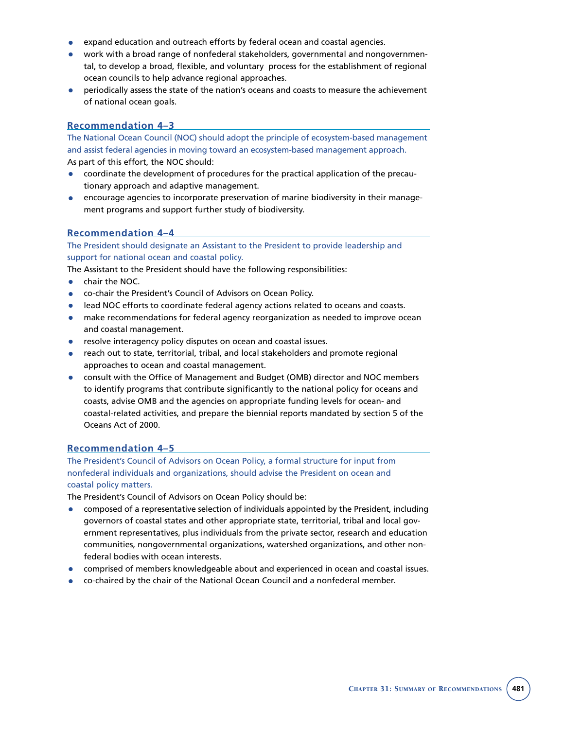- expand education and outreach efforts by federal ocean and coastal agencies.
- work with a broad range of nonfederal stakeholders, governmental and nongovernmental, to develop a broad, flexible, and voluntary process for the establishment of regional ocean councils to help advance regional approaches.
- periodically assess the state of the nation's oceans and coasts to measure the achievement of national ocean goals.

The National Ocean Council (NOC) should adopt the principle of ecosystem-based management and assist federal agencies in moving toward an ecosystem-based management approach. As part of this effort, the NOC should:

- coordinate the development of procedures for the practical application of the precautionary approach and adaptive management.
- encourage agencies to incorporate preservation of marine biodiversity in their management programs and support further study of biodiversity.

# **Recommendation 4–4**

The President should designate an Assistant to the President to provide leadership and support for national ocean and coastal policy.

The Assistant to the President should have the following responsibilities:

- chair the NOC.
- co-chair the President's Council of Advisors on Ocean Policy.
- lead NOC efforts to coordinate federal agency actions related to oceans and coasts.
- make recommendations for federal agency reorganization as needed to improve ocean and coastal management.
- resolve interagency policy disputes on ocean and coastal issues.
- reach out to state, territorial, tribal, and local stakeholders and promote regional approaches to ocean and coastal management.
- consult with the Office of Management and Budget (OMB) director and NOC members to identify programs that contribute significantly to the national policy for oceans and coasts, advise OMB and the agencies on appropriate funding levels for ocean- and coastal-related activities, and prepare the biennial reports mandated by section 5 of the Oceans Act of 2000.

#### **Recommendation 4–5**

The President's Council of Advisors on Ocean Policy, a formal structure for input from nonfederal individuals and organizations, should advise the President on ocean and coastal policy matters.

The President's Council of Advisors on Ocean Policy should be:

- composed of a representative selection of individuals appointed by the President, including governors of coastal states and other appropriate state, territorial, tribal and local government representatives, plus individuals from the private sector, research and education communities, nongovernmental organizations, watershed organizations, and other nonfederal bodies with ocean interests.
- comprised of members knowledgeable about and experienced in ocean and coastal issues.
- co-chaired by the chair of the National Ocean Council and a nonfederal member.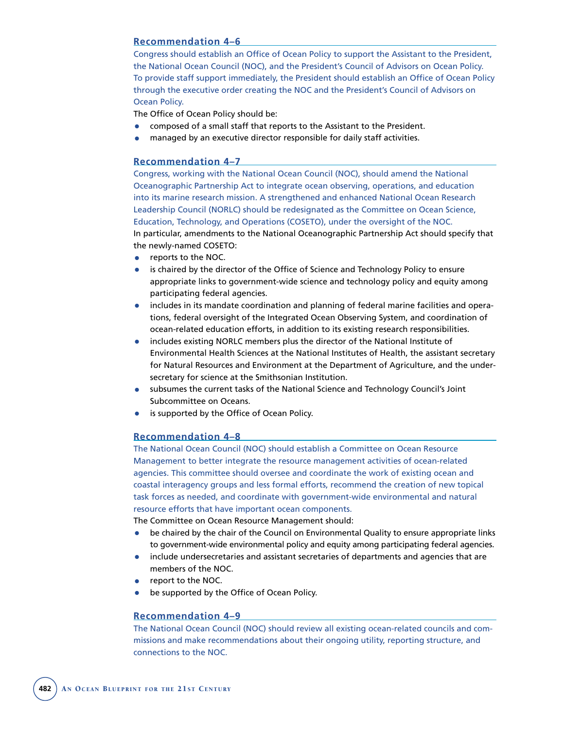Congress should establish an Office of Ocean Policy to support the Assistant to the President, the National Ocean Council (NOC), and the President's Council of Advisors on Ocean Policy. To provide staff support immediately, the President should establish an Office of Ocean Policy through the executive order creating the NOC and the President's Council of Advisors on Ocean Policy.

The Office of Ocean Policy should be:

- composed of a small staff that reports to the Assistant to the President.
- managed by an executive director responsible for daily staff activities.

#### **Recommendation 4–7**

Congress, working with the National Ocean Council (NOC), should amend the National Oceanographic Partnership Act to integrate ocean observing, operations, and education into its marine research mission. A strengthened and enhanced National Ocean Research Leadership Council (NORLC) should be redesignated as the Committee on Ocean Science, Education, Technology, and Operations (COSETO), under the oversight of the NOC. In particular, amendments to the National Oceanographic Partnership Act should specify that the newly-named COSETO:

- reports to the NOC.
- is chaired by the director of the Office of Science and Technology Policy to ensure appropriate links to government-wide science and technology policy and equity among participating federal agencies.
- includes in its mandate coordination and planning of federal marine facilities and operations, federal oversight of the Integrated Ocean Observing System, and coordination of ocean-related education efforts, in addition to its existing research responsibilities.
- includes existing NORLC members plus the director of the National Institute of Environmental Health Sciences at the National Institutes of Health, the assistant secretary for Natural Resources and Environment at the Department of Agriculture, and the undersecretary for science at the Smithsonian Institution.
- subsumes the current tasks of the National Science and Technology Council's Joint Subcommittee on Oceans.
- is supported by the Office of Ocean Policy.

#### **Recommendation 4–8**

The National Ocean Council (NOC) should establish a Committee on Ocean Resource Management to better integrate the resource management activities of ocean-related agencies. This committee should oversee and coordinate the work of existing ocean and coastal interagency groups and less formal efforts, recommend the creation of new topical task forces as needed, and coordinate with government-wide environmental and natural resource efforts that have important ocean components.

The Committee on Ocean Resource Management should:

- be chaired by the chair of the Council on Environmental Quality to ensure appropriate links to government-wide environmental policy and equity among participating federal agencies.
- include undersecretaries and assistant secretaries of departments and agencies that are members of the NOC.
- report to the NOC.
- be supported by the Office of Ocean Policy.

#### **Recommendation 4–9**

The National Ocean Council (NOC) should review all existing ocean-related councils and commissions and make recommendations about their ongoing utility, reporting structure, and connections to the NOC.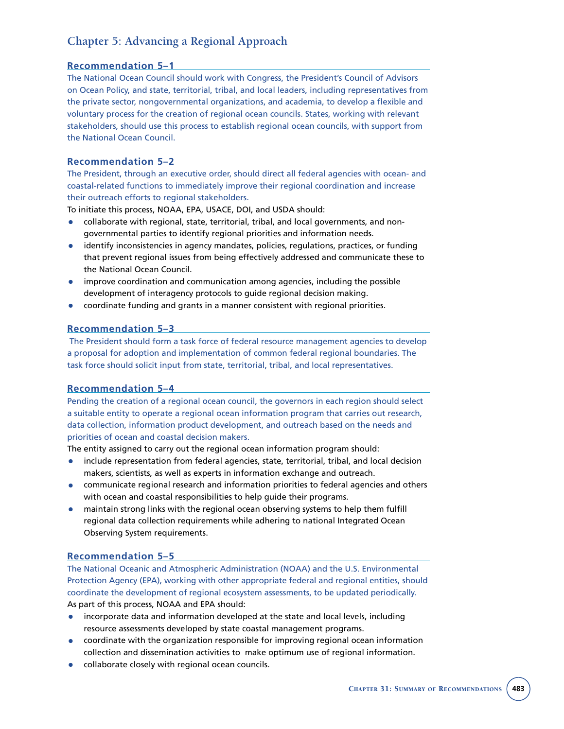# **Chapter 5: Advancing a Regional Approach**

# **Recommendation 5–1**

The National Ocean Council should work with Congress, the President's Council of Advisors on Ocean Policy, and state, territorial, tribal, and local leaders, including representatives from the private sector, nongovernmental organizations, and academia, to develop a flexible and voluntary process for the creation of regional ocean councils. States, working with relevant stakeholders, should use this process to establish regional ocean councils, with support from the National Ocean Council.

# **Recommendation 5–2**

The President, through an executive order, should direct all federal agencies with ocean- and coastal-related functions to immediately improve their regional coordination and increase their outreach efforts to regional stakeholders.

To initiate this process, NOAA, EPA, USACE, DOI, and USDA should:

- collaborate with regional, state, territorial, tribal, and local governments, and nongovernmental parties to identify regional priorities and information needs.
- identify inconsistencies in agency mandates, policies, regulations, practices, or funding that prevent regional issues from being effectively addressed and communicate these to the National Ocean Council.
- improve coordination and communication among agencies, including the possible development of interagency protocols to guide regional decision making.
- coordinate funding and grants in a manner consistent with regional priorities.

# **Recommendation 5–3**

The President should form a task force of federal resource management agencies to develop a proposal for adoption and implementation of common federal regional boundaries. The task force should solicit input from state, territorial, tribal, and local representatives.

# **Recommendation 5–4**

Pending the creation of a regional ocean council, the governors in each region should select a suitable entity to operate a regional ocean information program that carries out research, data collection, information product development, and outreach based on the needs and priorities of ocean and coastal decision makers.

The entity assigned to carry out the regional ocean information program should:

- include representation from federal agencies, state, territorial, tribal, and local decision makers, scientists, as well as experts in information exchange and outreach.
- communicate regional research and information priorities to federal agencies and others with ocean and coastal responsibilities to help guide their programs.
- maintain strong links with the regional ocean observing systems to help them fulfill regional data collection requirements while adhering to national Integrated Ocean Observing System requirements.

# **Recommendation 5–5**

The National Oceanic and Atmospheric Administration (NOAA) and the U.S. Environmental Protection Agency (EPA), working with other appropriate federal and regional entities, should coordinate the development of regional ecosystem assessments, to be updated periodically. As part of this process, NOAA and EPA should:

- incorporate data and information developed at the state and local levels, including resource assessments developed by state coastal management programs.
- coordinate with the organization responsible for improving regional ocean information collection and dissemination activities to make optimum use of regional information.
- collaborate closely with regional ocean councils.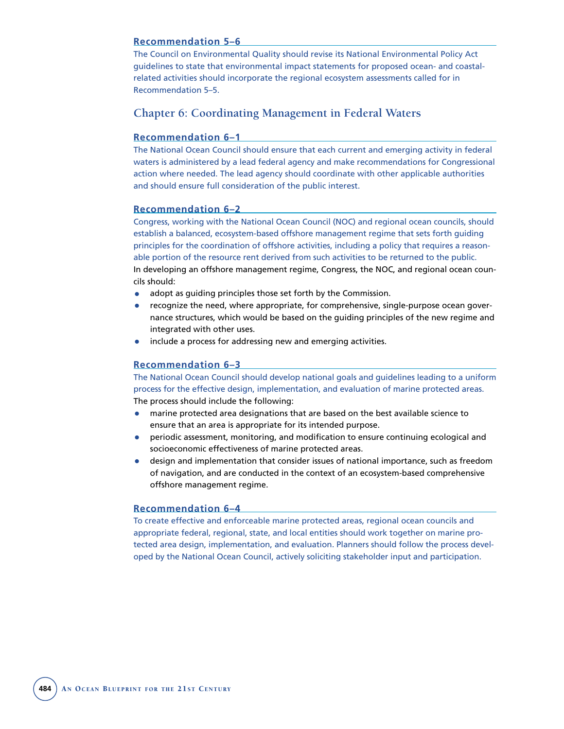The Council on Environmental Quality should revise its National Environmental Policy Act guidelines to state that environmental impact statements for proposed ocean- and coastalrelated activities should incorporate the regional ecosystem assessments called for in Recommendation 5–5.

# **Chapter 6: Coordinating Management in Federal Waters**

#### **Recommendation 6–1**

The National Ocean Council should ensure that each current and emerging activity in federal waters is administered by a lead federal agency and make recommendations for Congressional action where needed. The lead agency should coordinate with other applicable authorities and should ensure full consideration of the public interest.

#### **Recommendation 6–2**

Congress, working with the National Ocean Council (NOC) and regional ocean councils, should establish a balanced, ecosystem-based offshore management regime that sets forth guiding principles for the coordination of offshore activities, including a policy that requires a reasonable portion of the resource rent derived from such activities to be returned to the public. In developing an offshore management regime, Congress, the NOC, and regional ocean councils should:

- adopt as guiding principles those set forth by the Commission.
- recognize the need, where appropriate, for comprehensive, single-purpose ocean governance structures, which would be based on the guiding principles of the new regime and integrated with other uses.
- include a process for addressing new and emerging activities.

#### **Recommendation 6–3**

The National Ocean Council should develop national goals and guidelines leading to a uniform process for the effective design, implementation, and evaluation of marine protected areas. The process should include the following:

- marine protected area designations that are based on the best available science to ensure that an area is appropriate for its intended purpose.
- periodic assessment, monitoring, and modification to ensure continuing ecological and socioeconomic effectiveness of marine protected areas.
- design and implementation that consider issues of national importance, such as freedom of navigation, and are conducted in the context of an ecosystem-based comprehensive offshore management regime.

#### **Recommendation 6–4**

To create effective and enforceable marine protected areas, regional ocean councils and appropriate federal, regional, state, and local entities should work together on marine protected area design, implementation, and evaluation. Planners should follow the process developed by the National Ocean Council, actively soliciting stakeholder input and participation.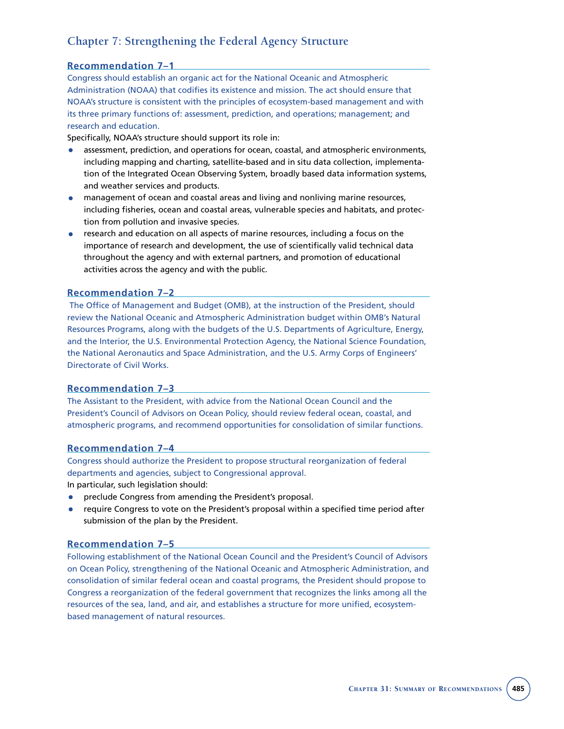# **Chapter 7: Strengthening the Federal Agency Structure**

# **Recommendation 7–1**

Congress should establish an organic act for the National Oceanic and Atmospheric Administration (NOAA) that codifies its existence and mission. The act should ensure that NOAA's structure is consistent with the principles of ecosystem-based management and with its three primary functions of: assessment, prediction, and operations; management; and research and education.

Specifically, NOAA's structure should support its role in:

- assessment, prediction, and operations for ocean, coastal, and atmospheric environments, including mapping and charting, satellite-based and in situ data collection, implementation of the Integrated Ocean Observing System, broadly based data information systems, and weather services and products.
- management of ocean and coastal areas and living and nonliving marine resources, including fisheries, ocean and coastal areas, vulnerable species and habitats, and protection from pollution and invasive species.
- research and education on all aspects of marine resources, including a focus on the importance of research and development, the use of scientifically valid technical data throughout the agency and with external partners, and promotion of educational activities across the agency and with the public.

# **Recommendation 7–2**

The Office of Management and Budget (OMB), at the instruction of the President, should review the National Oceanic and Atmospheric Administration budget within OMB's Natural Resources Programs, along with the budgets of the U.S. Departments of Agriculture, Energy, and the Interior, the U.S. Environmental Protection Agency, the National Science Foundation, the National Aeronautics and Space Administration, and the U.S. Army Corps of Engineers' Directorate of Civil Works.

#### **Recommendation 7–3**

The Assistant to the President, with advice from the National Ocean Council and the President's Council of Advisors on Ocean Policy, should review federal ocean, coastal, and atmospheric programs, and recommend opportunities for consolidation of similar functions.

#### **Recommendation 7–4**

Congress should authorize the President to propose structural reorganization of federal departments and agencies, subject to Congressional approval.

In particular, such legislation should:

- preclude Congress from amending the President's proposal.
- require Congress to vote on the President's proposal within a specified time period after submission of the plan by the President.

# **Recommendation 7–5**

Following establishment of the National Ocean Council and the President's Council of Advisors on Ocean Policy, strengthening of the National Oceanic and Atmospheric Administration, and consolidation of similar federal ocean and coastal programs, the President should propose to Congress a reorganization of the federal government that recognizes the links among all the resources of the sea, land, and air, and establishes a structure for more unified, ecosystembased management of natural resources.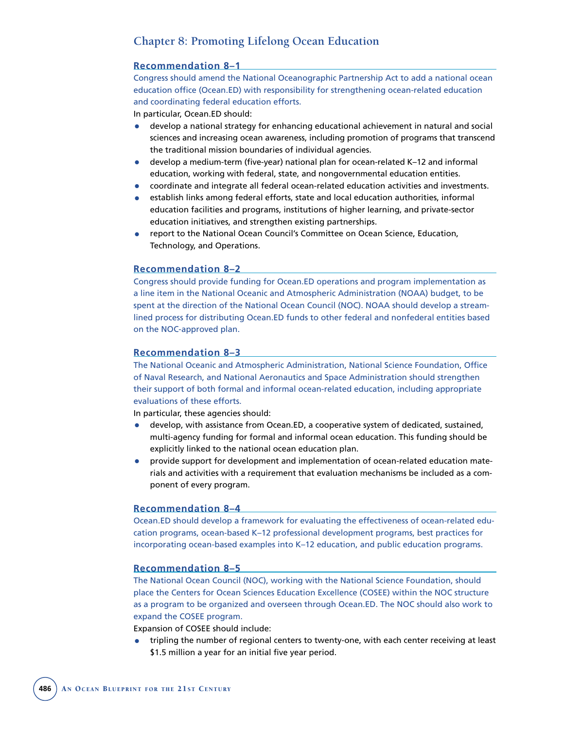# **Chapter 8: Promoting Lifelong Ocean Education**

#### **Recommendation 8–1**

Congress should amend the National Oceanographic Partnership Act to add a national ocean education office (Ocean.ED) with responsibility for strengthening ocean-related education and coordinating federal education efforts.

In particular, Ocean.ED should:

- develop a national strategy for enhancing educational achievement in natural and social sciences and increasing ocean awareness, including promotion of programs that transcend the traditional mission boundaries of individual agencies.
- develop a medium-term (five-year) national plan for ocean-related K–12 and informal education, working with federal, state, and nongovernmental education entities.
- coordinate and integrate all federal ocean-related education activities and investments.
- establish links among federal efforts, state and local education authorities, informal education facilities and programs, institutions of higher learning, and private-sector education initiatives, and strengthen existing partnerships.
- report to the National Ocean Council's Committee on Ocean Science, Education, Technology, and Operations.

#### **Recommendation 8–2**

Congress should provide funding for Ocean.ED operations and program implementation as a line item in the National Oceanic and Atmospheric Administration (NOAA) budget, to be spent at the direction of the National Ocean Council (NOC). NOAA should develop a streamlined process for distributing Ocean.ED funds to other federal and nonfederal entities based on the NOC-approved plan.

#### **Recommendation 8–3**

The National Oceanic and Atmospheric Administration, National Science Foundation, Office of Naval Research, and National Aeronautics and Space Administration should strengthen their support of both formal and informal ocean-related education, including appropriate evaluations of these efforts.

In particular, these agencies should:

- develop, with assistance from Ocean.ED, a cooperative system of dedicated, sustained, multi-agency funding for formal and informal ocean education. This funding should be explicitly linked to the national ocean education plan.
- provide support for development and implementation of ocean-related education materials and activities with a requirement that evaluation mechanisms be included as a component of every program.

#### **Recommendation 8–4**

Ocean.ED should develop a framework for evaluating the effectiveness of ocean-related education programs, ocean-based K–12 professional development programs, best practices for incorporating ocean-based examples into K–12 education, and public education programs.

#### **Recommendation 8–5**

The National Ocean Council (NOC), working with the National Science Foundation, should place the Centers for Ocean Sciences Education Excellence (COSEE) within the NOC structure as a program to be organized and overseen through Ocean.ED. The NOC should also work to expand the COSEE program.

Expansion of COSEE should include:

• tripling the number of regional centers to twenty-one, with each center receiving at least \$1.5 million a year for an initial five year period.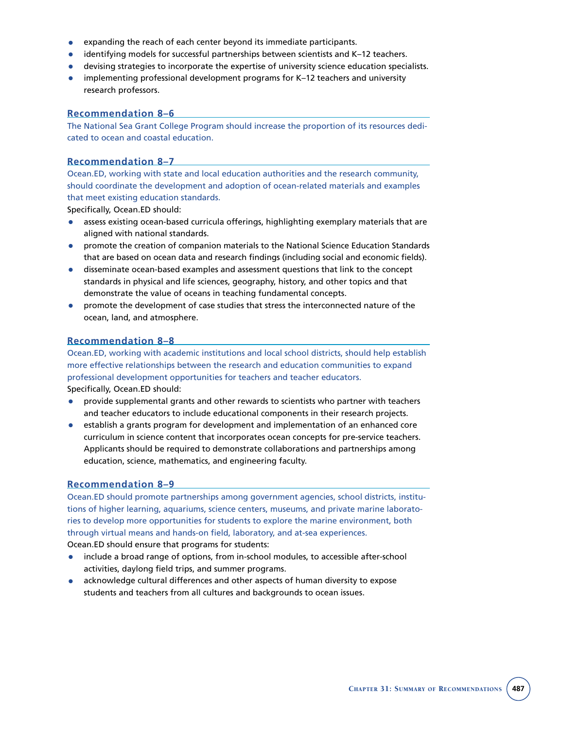- expanding the reach of each center beyond its immediate participants.
- identifying models for successful partnerships between scientists and K–12 teachers.
- devising strategies to incorporate the expertise of university science education specialists.
- implementing professional development programs for K-12 teachers and university research professors.

The National Sea Grant College Program should increase the proportion of its resources dedicated to ocean and coastal education.

# **Recommendation 8–7**

Ocean.ED, working with state and local education authorities and the research community, should coordinate the development and adoption of ocean-related materials and examples that meet existing education standards.

Specifically, Ocean.ED should:

- assess existing ocean-based curricula offerings, highlighting exemplary materials that are aligned with national standards.
- promote the creation of companion materials to the National Science Education Standards that are based on ocean data and research findings (including social and economic fields).
- disseminate ocean-based examples and assessment questions that link to the concept standards in physical and life sciences, geography, history, and other topics and that demonstrate the value of oceans in teaching fundamental concepts.
- promote the development of case studies that stress the interconnected nature of the ocean, land, and atmosphere.

# **Recommendation 8–8**

Ocean.ED, working with academic institutions and local school districts, should help establish more effective relationships between the research and education communities to expand professional development opportunities for teachers and teacher educators. Specifically, Ocean.ED should:

- provide supplemental grants and other rewards to scientists who partner with teachers and teacher educators to include educational components in their research projects.
- establish a grants program for development and implementation of an enhanced core curriculum in science content that incorporates ocean concepts for pre-service teachers. Applicants should be required to demonstrate collaborations and partnerships among education, science, mathematics, and engineering faculty.

# **Recommendation 8–9**

Ocean.ED should promote partnerships among government agencies, school districts, institutions of higher learning, aquariums, science centers, museums, and private marine laboratories to develop more opportunities for students to explore the marine environment, both through virtual means and hands-on field, laboratory, and at-sea experiences. Ocean.ED should ensure that programs for students:

- include a broad range of options, from in-school modules, to accessible after-school activities, daylong field trips, and summer programs.
- acknowledge cultural differences and other aspects of human diversity to expose students and teachers from all cultures and backgrounds to ocean issues.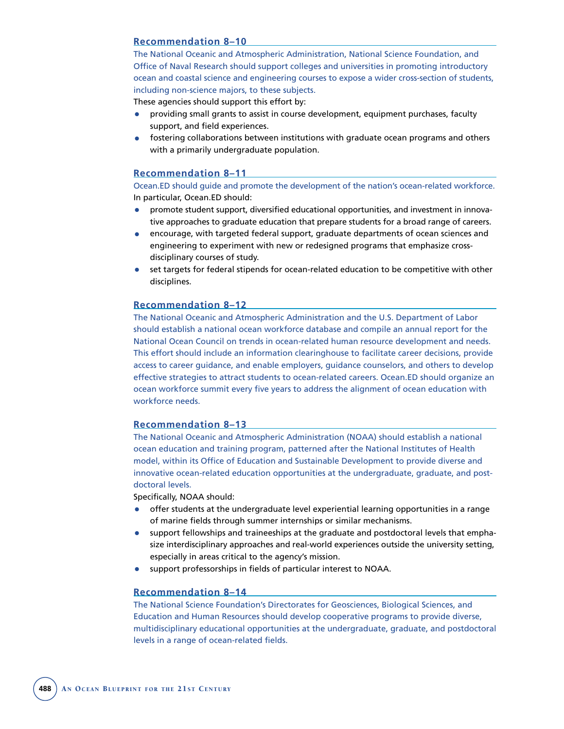The National Oceanic and Atmospheric Administration, National Science Foundation, and Office of Naval Research should support colleges and universities in promoting introductory ocean and coastal science and engineering courses to expose a wider cross-section of students, including non-science majors, to these subjects.

These agencies should support this effort by:

- providing small grants to assist in course development, equipment purchases, faculty support, and field experiences.
- fostering collaborations between institutions with graduate ocean programs and others with a primarily undergraduate population.

#### **Recommendation 8–11**

Ocean.ED should guide and promote the development of the nation's ocean-related workforce. In particular, Ocean.ED should:

- promote student support, diversified educational opportunities, and investment in innovative approaches to graduate education that prepare students for a broad range of careers.
- encourage, with targeted federal support, graduate departments of ocean sciences and engineering to experiment with new or redesigned programs that emphasize crossdisciplinary courses of study.
- set targets for federal stipends for ocean-related education to be competitive with other disciplines.

#### **Recommendation 8–12**

The National Oceanic and Atmospheric Administration and the U.S. Department of Labor should establish a national ocean workforce database and compile an annual report for the National Ocean Council on trends in ocean-related human resource development and needs. This effort should include an information clearinghouse to facilitate career decisions, provide access to career guidance, and enable employers, guidance counselors, and others to develop effective strategies to attract students to ocean-related careers. Ocean.ED should organize an ocean workforce summit every five years to address the alignment of ocean education with workforce needs.

#### **Recommendation 8–13**

The National Oceanic and Atmospheric Administration (NOAA) should establish a national ocean education and training program, patterned after the National Institutes of Health model, within its Office of Education and Sustainable Development to provide diverse and innovative ocean-related education opportunities at the undergraduate, graduate, and postdoctoral levels.

Specifically, NOAA should:

- offer students at the undergraduate level experiential learning opportunities in a range of marine fields through summer internships or similar mechanisms.
- support fellowships and traineeships at the graduate and postdoctoral levels that emphasize interdisciplinary approaches and real-world experiences outside the university setting, especially in areas critical to the agency's mission.
- support professorships in fields of particular interest to NOAA.

#### **Recommendation 8–14**

The National Science Foundation's Directorates for Geosciences, Biological Sciences, and Education and Human Resources should develop cooperative programs to provide diverse, multidisciplinary educational opportunities at the undergraduate, graduate, and postdoctoral levels in a range of ocean-related fields.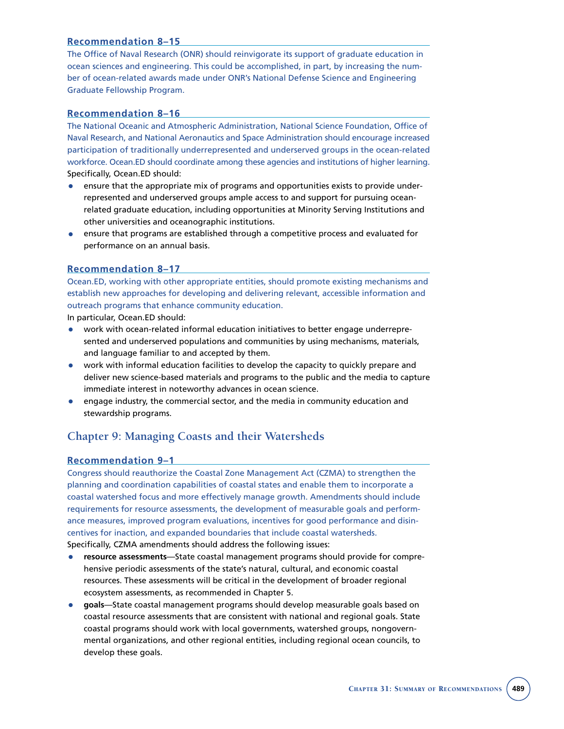The Office of Naval Research (ONR) should reinvigorate its support of graduate education in ocean sciences and engineering. This could be accomplished, in part, by increasing the number of ocean-related awards made under ONR's National Defense Science and Engineering Graduate Fellowship Program.

# **Recommendation 8–16**

The National Oceanic and Atmospheric Administration, National Science Foundation, Office of Naval Research, and National Aeronautics and Space Administration should encourage increased participation of traditionally underrepresented and underserved groups in the ocean-related workforce. Ocean.ED should coordinate among these agencies and institutions of higher learning. Specifically, Ocean.ED should:

- ensure that the appropriate mix of programs and opportunities exists to provide underrepresented and underserved groups ample access to and support for pursuing oceanrelated graduate education, including opportunities at Minority Serving Institutions and other universities and oceanographic institutions.
- ensure that programs are established through a competitive process and evaluated for performance on an annual basis.

# **Recommendation 8–17**

Ocean.ED, working with other appropriate entities, should promote existing mechanisms and establish new approaches for developing and delivering relevant, accessible information and outreach programs that enhance community education.

In particular, Ocean.ED should:

- work with ocean-related informal education initiatives to better engage underrepresented and underserved populations and communities by using mechanisms, materials, and language familiar to and accepted by them.
- work with informal education facilities to develop the capacity to quickly prepare and deliver new science-based materials and programs to the public and the media to capture immediate interest in noteworthy advances in ocean science.
- engage industry, the commercial sector, and the media in community education and stewardship programs.

# **Chapter 9: Managing Coasts and their Watersheds**

# **Recommendation 9–1**

Congress should reauthorize the Coastal Zone Management Act (CZMA) to strengthen the planning and coordination capabilities of coastal states and enable them to incorporate a coastal watershed focus and more effectively manage growth. Amendments should include requirements for resource assessments, the development of measurable goals and performance measures, improved program evaluations, incentives for good performance and disincentives for inaction, and expanded boundaries that include coastal watersheds. Specifically, CZMA amendments should address the following issues:

- **resource assessments**—State coastal management programs should provide for comprehensive periodic assessments of the state's natural, cultural, and economic coastal resources. These assessments will be critical in the development of broader regional ecosystem assessments, as recommended in Chapter 5.
- **goals**—State coastal management programs should develop measurable goals based on coastal resource assessments that are consistent with national and regional goals. State coastal programs should work with local governments, watershed groups, nongovernmental organizations, and other regional entities, including regional ocean councils, to develop these goals.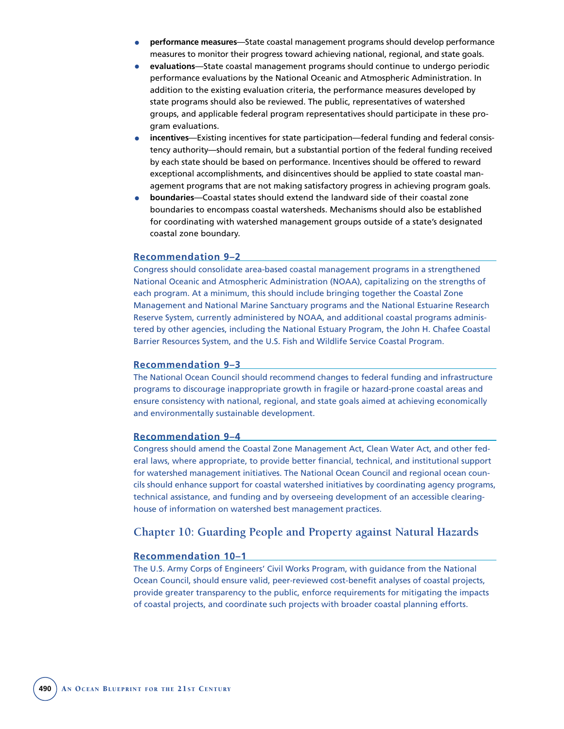- **performance measures**—State coastal management programs should develop performance measures to monitor their progress toward achieving national, regional, and state goals.
- **evaluations**—State coastal management programs should continue to undergo periodic performance evaluations by the National Oceanic and Atmospheric Administration. In addition to the existing evaluation criteria, the performance measures developed by state programs should also be reviewed. The public, representatives of watershed groups, and applicable federal program representatives should participate in these program evaluations.
- **incentives**—Existing incentives for state participation—federal funding and federal consistency authority—should remain, but a substantial portion of the federal funding received by each state should be based on performance. Incentives should be offered to reward exceptional accomplishments, and disincentives should be applied to state coastal management programs that are not making satisfactory progress in achieving program goals.
- **boundaries**—Coastal states should extend the landward side of their coastal zone boundaries to encompass coastal watersheds. Mechanisms should also be established for coordinating with watershed management groups outside of a state's designated coastal zone boundary.

Congress should consolidate area-based coastal management programs in a strengthened National Oceanic and Atmospheric Administration (NOAA), capitalizing on the strengths of each program. At a minimum, this should include bringing together the Coastal Zone Management and National Marine Sanctuary programs and the National Estuarine Research Reserve System, currently administered by NOAA, and additional coastal programs administered by other agencies, including the National Estuary Program, the John H. Chafee Coastal Barrier Resources System, and the U.S. Fish and Wildlife Service Coastal Program.

#### **Recommendation 9–3**

The National Ocean Council should recommend changes to federal funding and infrastructure programs to discourage inappropriate growth in fragile or hazard-prone coastal areas and ensure consistency with national, regional, and state goals aimed at achieving economically and environmentally sustainable development.

#### **Recommendation 9–4**

Congress should amend the Coastal Zone Management Act, Clean Water Act, and other federal laws, where appropriate, to provide better financial, technical, and institutional support for watershed management initiatives. The National Ocean Council and regional ocean councils should enhance support for coastal watershed initiatives by coordinating agency programs, technical assistance, and funding and by overseeing development of an accessible clearinghouse of information on watershed best management practices.

# **Chapter 10: Guarding People and Property against Natural Hazards**

#### **Recommendation 10–1**

The U.S. Army Corps of Engineers' Civil Works Program, with guidance from the National Ocean Council, should ensure valid, peer-reviewed cost-benefit analyses of coastal projects, provide greater transparency to the public, enforce requirements for mitigating the impacts of coastal projects, and coordinate such projects with broader coastal planning efforts.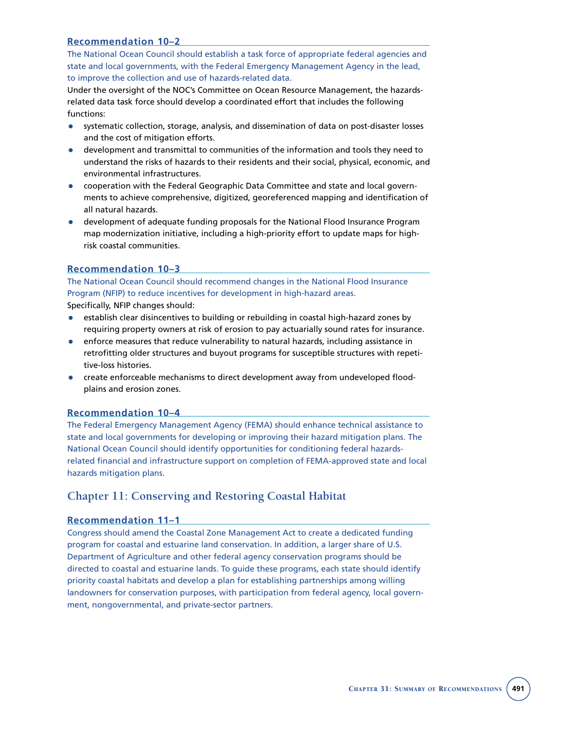The National Ocean Council should establish a task force of appropriate federal agencies and state and local governments, with the Federal Emergency Management Agency in the lead, to improve the collection and use of hazards-related data.

Under the oversight of the NOC's Committee on Ocean Resource Management, the hazardsrelated data task force should develop a coordinated effort that includes the following functions:

- systematic collection, storage, analysis, and dissemination of data on post-disaster losses and the cost of mitigation efforts.
- development and transmittal to communities of the information and tools they need to understand the risks of hazards to their residents and their social, physical, economic, and environmental infrastructures.
- cooperation with the Federal Geographic Data Committee and state and local governments to achieve comprehensive, digitized, georeferenced mapping and identification of all natural hazards.
- development of adequate funding proposals for the National Flood Insurance Program map modernization initiative, including a high-priority effort to update maps for highrisk coastal communities.

# **Recommendation 10–3**

The National Ocean Council should recommend changes in the National Flood Insurance Program (NFIP) to reduce incentives for development in high-hazard areas.

Specifically, NFIP changes should:

- establish clear disincentives to building or rebuilding in coastal high-hazard zones by requiring property owners at risk of erosion to pay actuarially sound rates for insurance.
- enforce measures that reduce vulnerability to natural hazards, including assistance in retrofitting older structures and buyout programs for susceptible structures with repetitive-loss histories.
- create enforceable mechanisms to direct development away from undeveloped floodplains and erosion zones.

# **Recommendation 10–4**

The Federal Emergency Management Agency (FEMA) should enhance technical assistance to state and local governments for developing or improving their hazard mitigation plans. The National Ocean Council should identify opportunities for conditioning federal hazardsrelated financial and infrastructure support on completion of FEMA-approved state and local hazards mitigation plans.

# **Chapter 11: Conserving and Restoring Coastal Habitat**

#### **Recommendation 11–1**

Congress should amend the Coastal Zone Management Act to create a dedicated funding program for coastal and estuarine land conservation. In addition, a larger share of U.S. Department of Agriculture and other federal agency conservation programs should be directed to coastal and estuarine lands. To guide these programs, each state should identify priority coastal habitats and develop a plan for establishing partnerships among willing landowners for conservation purposes, with participation from federal agency, local government, nongovernmental, and private-sector partners.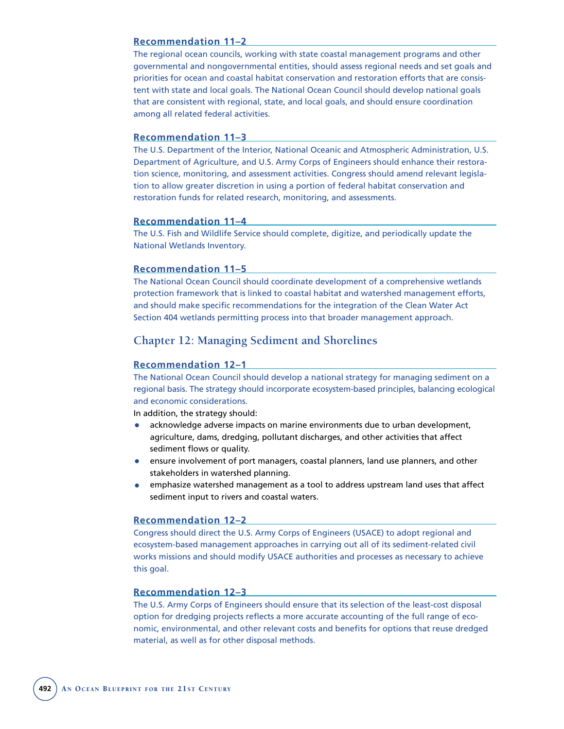The regional ocean councils, working with state coastal management programs and other governmental and nongovernmental entities, should assess regional needs and set goals and priorities for ocean and coastal habitat conservation and restoration efforts that are consistent with state and local goals. The National Ocean Council should develop national goals that are consistent with regional, state, and local goals, and should ensure coordination among all related federal activities.

#### **Recommendation 11–3**

The U.S. Department of the Interior, National Oceanic and Atmospheric Administration, U.S. Department of Agriculture, and U.S. Army Corps of Engineers should enhance their restoration science, monitoring, and assessment activities. Congress should amend relevant legislation to allow greater discretion in using a portion of federal habitat conservation and restoration funds for related research, monitoring, and assessments.

#### **Recommendation 11–4**

The U.S. Fish and Wildlife Service should complete, digitize, and periodically update the National Wetlands Inventory.

#### **Recommendation 11–5**

The National Ocean Council should coordinate development of a comprehensive wetlands protection framework that is linked to coastal habitat and watershed management efforts, and should make specific recommendations for the integration of the Clean Water Act Section 404 wetlands permitting process into that broader management approach.

# **Chapter 12: Managing Sediment and Shorelines**

#### **Recommendation 12–1**

The National Ocean Council should develop a national strategy for managing sediment on a regional basis. The strategy should incorporate ecosystem-based principles, balancing ecological and economic considerations.

In addition, the strategy should:

- acknowledge adverse impacts on marine environments due to urban development, agriculture, dams, dredging, pollutant discharges, and other activities that affect sediment flows or quality.
- ensure involvement of port managers, coastal planners, land use planners, and other stakeholders in watershed planning.
- emphasize watershed management as a tool to address upstream land uses that affect sediment input to rivers and coastal waters.

#### **Recommendation 12–2**

Congress should direct the U.S. Army Corps of Engineers (USACE) to adopt regional and ecosystem-based management approaches in carrying out all of its sediment-related civil works missions and should modify USACE authorities and processes as necessary to achieve this goal.

#### **Recommendation 12–3**

The U.S. Army Corps of Engineers should ensure that its selection of the least-cost disposal option for dredging projects reflects a more accurate accounting of the full range of economic, environmental, and other relevant costs and benefits for options that reuse dredged material, as well as for other disposal methods.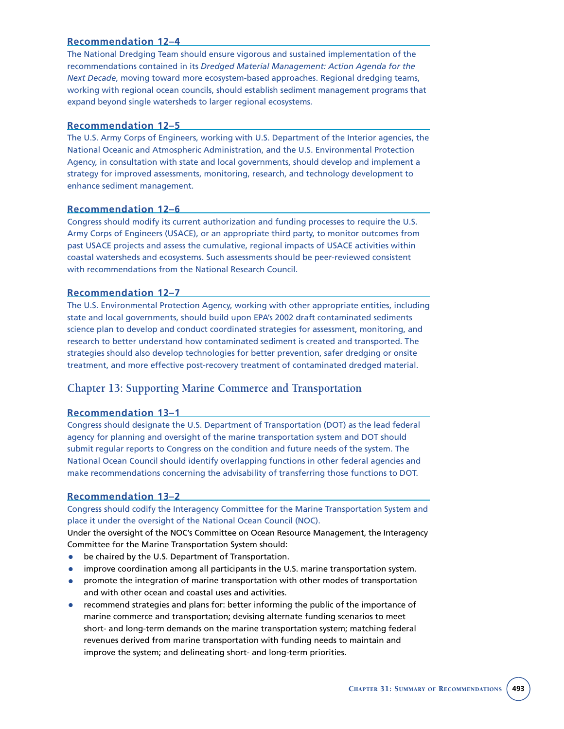The National Dredging Team should ensure vigorous and sustained implementation of the recommendations contained in its *Dredged Material Management: Action Agenda for the Next Decade*, moving toward more ecosystem-based approaches. Regional dredging teams, working with regional ocean councils, should establish sediment management programs that expand beyond single watersheds to larger regional ecosystems.

#### **Recommendation 12–5**

The U.S. Army Corps of Engineers, working with U.S. Department of the Interior agencies, the National Oceanic and Atmospheric Administration, and the U.S. Environmental Protection Agency, in consultation with state and local governments, should develop and implement a strategy for improved assessments, monitoring, research, and technology development to enhance sediment management.

#### **Recommendation 12–6**

Congress should modify its current authorization and funding processes to require the U.S. Army Corps of Engineers (USACE), or an appropriate third party, to monitor outcomes from past USACE projects and assess the cumulative, regional impacts of USACE activities within coastal watersheds and ecosystems. Such assessments should be peer-reviewed consistent with recommendations from the National Research Council.

#### **Recommendation 12–7**

The U.S. Environmental Protection Agency, working with other appropriate entities, including state and local governments, should build upon EPA's 2002 draft contaminated sediments science plan to develop and conduct coordinated strategies for assessment, monitoring, and research to better understand how contaminated sediment is created and transported. The strategies should also develop technologies for better prevention, safer dredging or onsite treatment, and more effective post-recovery treatment of contaminated dredged material.

# **Chapter 13: Supporting Marine Commerce and Transportation**

#### **Recommendation 13–1**

Congress should designate the U.S. Department of Transportation (DOT) as the lead federal agency for planning and oversight of the marine transportation system and DOT should submit regular reports to Congress on the condition and future needs of the system. The National Ocean Council should identify overlapping functions in other federal agencies and make recommendations concerning the advisability of transferring those functions to DOT.

# **Recommendation 13–2**

Congress should codify the Interagency Committee for the Marine Transportation System and place it under the oversight of the National Ocean Council (NOC).

Under the oversight of the NOC's Committee on Ocean Resource Management, the Interagency Committee for the Marine Transportation System should:

- be chaired by the U.S. Department of Transportation.<br>• improve coordination among all participants in the U.
- improve coordination among all participants in the U.S. marine transportation system.
- promote the integration of marine transportation with other modes of transportation and with other ocean and coastal uses and activities.
- recommend strategies and plans for: better informing the public of the importance of marine commerce and transportation; devising alternate funding scenarios to meet short- and long-term demands on the marine transportation system; matching federal revenues derived from marine transportation with funding needs to maintain and improve the system; and delineating short- and long-term priorities.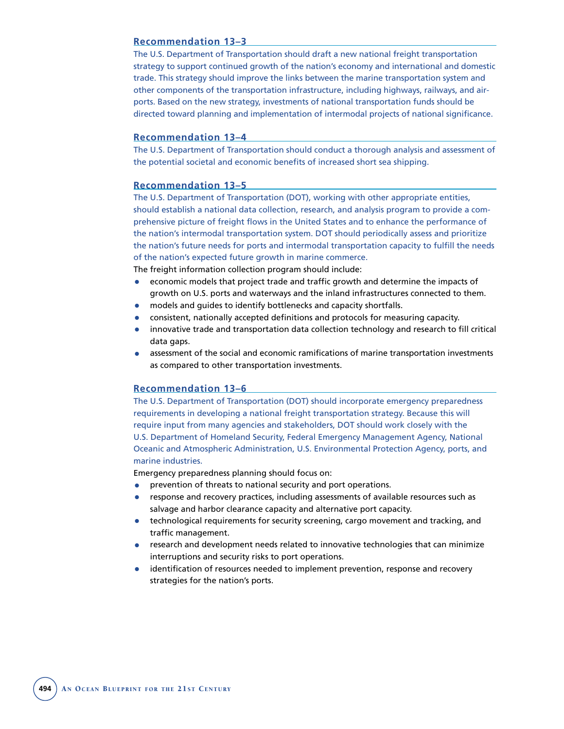The U.S. Department of Transportation should draft a new national freight transportation strategy to support continued growth of the nation's economy and international and domestic trade. This strategy should improve the links between the marine transportation system and other components of the transportation infrastructure, including highways, railways, and airports. Based on the new strategy, investments of national transportation funds should be directed toward planning and implementation of intermodal projects of national significance.

#### **Recommendation 13–4**

The U.S. Department of Transportation should conduct a thorough analysis and assessment of the potential societal and economic benefits of increased short sea shipping.

#### **Recommendation 13–5**

The U.S. Department of Transportation (DOT), working with other appropriate entities, should establish a national data collection, research, and analysis program to provide a comprehensive picture of freight flows in the United States and to enhance the performance of the nation's intermodal transportation system. DOT should periodically assess and prioritize the nation's future needs for ports and intermodal transportation capacity to fulfill the needs of the nation's expected future growth in marine commerce.

The freight information collection program should include:

- economic models that project trade and traffic growth and determine the impacts of growth on U.S. ports and waterways and the inland infrastructures connected to them.
- models and guides to identify bottlenecks and capacity shortfalls.
- consistent, nationally accepted definitions and protocols for measuring capacity.
- innovative trade and transportation data collection technology and research to fill critical data gaps.
- assessment of the social and economic ramifications of marine transportation investments as compared to other transportation investments.

#### **Recommendation 13–6**

The U.S. Department of Transportation (DOT) should incorporate emergency preparedness requirements in developing a national freight transportation strategy. Because this will require input from many agencies and stakeholders, DOT should work closely with the U.S. Department of Homeland Security, Federal Emergency Management Agency, National Oceanic and Atmospheric Administration, U.S. Environmental Protection Agency, ports, and marine industries.

Emergency preparedness planning should focus on:

- prevention of threats to national security and port operations.
- response and recovery practices, including assessments of available resources such as salvage and harbor clearance capacity and alternative port capacity.
- technological requirements for security screening, cargo movement and tracking, and traffic management.
- research and development needs related to innovative technologies that can minimize interruptions and security risks to port operations.
- identification of resources needed to implement prevention, response and recovery strategies for the nation's ports.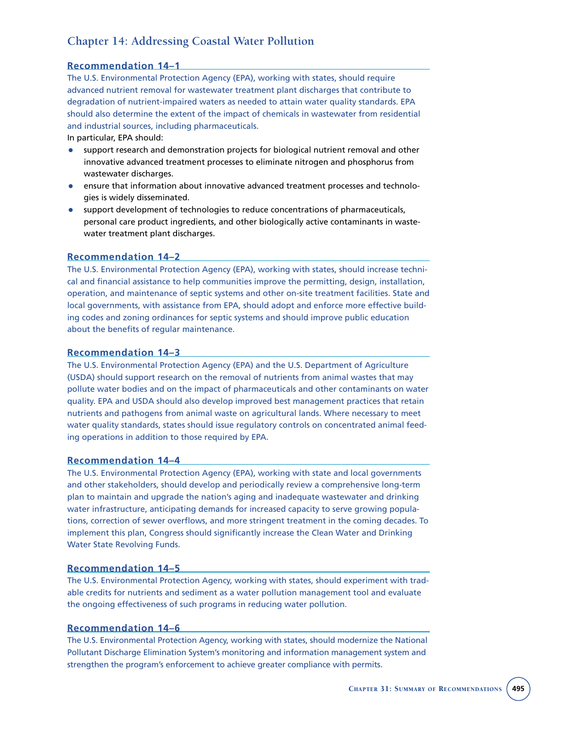# **Chapter 14: Addressing Coastal Water Pollution**

# **Recommendation 14–1**

The U.S. Environmental Protection Agency (EPA), working with states, should require advanced nutrient removal for wastewater treatment plant discharges that contribute to degradation of nutrient-impaired waters as needed to attain water quality standards. EPA should also determine the extent of the impact of chemicals in wastewater from residential and industrial sources, including pharmaceuticals.

In particular, EPA should:

- support research and demonstration projects for biological nutrient removal and other innovative advanced treatment processes to eliminate nitrogen and phosphorus from wastewater discharges.
- ensure that information about innovative advanced treatment processes and technologies is widely disseminated.
- support development of technologies to reduce concentrations of pharmaceuticals, personal care product ingredients, and other biologically active contaminants in wastewater treatment plant discharges.

# **Recommendation 14–2**

The U.S. Environmental Protection Agency (EPA), working with states, should increase technical and financial assistance to help communities improve the permitting, design, installation, operation, and maintenance of septic systems and other on-site treatment facilities. State and local governments, with assistance from EPA, should adopt and enforce more effective building codes and zoning ordinances for septic systems and should improve public education about the benefits of regular maintenance.

# **Recommendation 14–3**

The U.S. Environmental Protection Agency (EPA) and the U.S. Department of Agriculture (USDA) should support research on the removal of nutrients from animal wastes that may pollute water bodies and on the impact of pharmaceuticals and other contaminants on water quality. EPA and USDA should also develop improved best management practices that retain nutrients and pathogens from animal waste on agricultural lands. Where necessary to meet water quality standards, states should issue regulatory controls on concentrated animal feeding operations in addition to those required by EPA.

# **Recommendation 14–4**

The U.S. Environmental Protection Agency (EPA), working with state and local governments and other stakeholders, should develop and periodically review a comprehensive long-term plan to maintain and upgrade the nation's aging and inadequate wastewater and drinking water infrastructure, anticipating demands for increased capacity to serve growing populations, correction of sewer overflows, and more stringent treatment in the coming decades. To implement this plan, Congress should significantly increase the Clean Water and Drinking Water State Revolving Funds.

# **Recommendation 14–5**

The U.S. Environmental Protection Agency, working with states, should experiment with tradable credits for nutrients and sediment as a water pollution management tool and evaluate the ongoing effectiveness of such programs in reducing water pollution.

# **Recommendation 14–6**

The U.S. Environmental Protection Agency, working with states, should modernize the National Pollutant Discharge Elimination System's monitoring and information management system and strengthen the program's enforcement to achieve greater compliance with permits.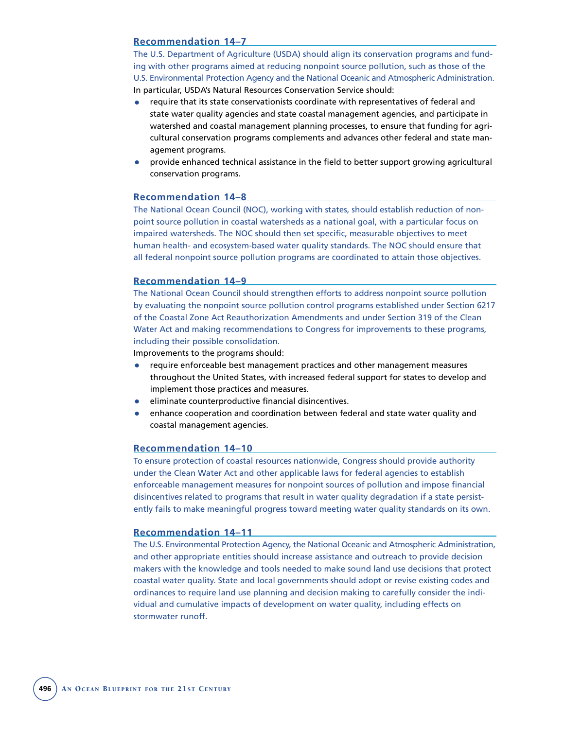The U.S. Department of Agriculture (USDA) should align its conservation programs and funding with other programs aimed at reducing nonpoint source pollution, such as those of the U.S. Environmental Protection Agency and the National Oceanic and Atmospheric Administration. In particular, USDA's Natural Resources Conservation Service should:

- require that its state conservationists coordinate with representatives of federal and state water quality agencies and state coastal management agencies, and participate in watershed and coastal management planning processes, to ensure that funding for agricultural conservation programs complements and advances other federal and state management programs.
- provide enhanced technical assistance in the field to better support growing agricultural conservation programs.

#### **Recommendation 14–8**

The National Ocean Council (NOC), working with states, should establish reduction of nonpoint source pollution in coastal watersheds as a national goal, with a particular focus on impaired watersheds. The NOC should then set specific, measurable objectives to meet human health- and ecosystem-based water quality standards. The NOC should ensure that all federal nonpoint source pollution programs are coordinated to attain those objectives.

#### **Recommendation 14–9**

The National Ocean Council should strengthen efforts to address nonpoint source pollution by evaluating the nonpoint source pollution control programs established under Section 6217 of the Coastal Zone Act Reauthorization Amendments and under Section 319 of the Clean Water Act and making recommendations to Congress for improvements to these programs, including their possible consolidation.

Improvements to the programs should:

- require enforceable best management practices and other management measures throughout the United States, with increased federal support for states to develop and implement those practices and measures.
- eliminate counterproductive financial disincentives.
- enhance cooperation and coordination between federal and state water quality and coastal management agencies.

#### **Recommendation 14–10**

To ensure protection of coastal resources nationwide, Congress should provide authority under the Clean Water Act and other applicable laws for federal agencies to establish enforceable management measures for nonpoint sources of pollution and impose financial disincentives related to programs that result in water quality degradation if a state persistently fails to make meaningful progress toward meeting water quality standards on its own.

#### **Recommendation 14–11**

The U.S. Environmental Protection Agency, the National Oceanic and Atmospheric Administration, and other appropriate entities should increase assistance and outreach to provide decision makers with the knowledge and tools needed to make sound land use decisions that protect coastal water quality. State and local governments should adopt or revise existing codes and ordinances to require land use planning and decision making to carefully consider the individual and cumulative impacts of development on water quality, including effects on stormwater runoff.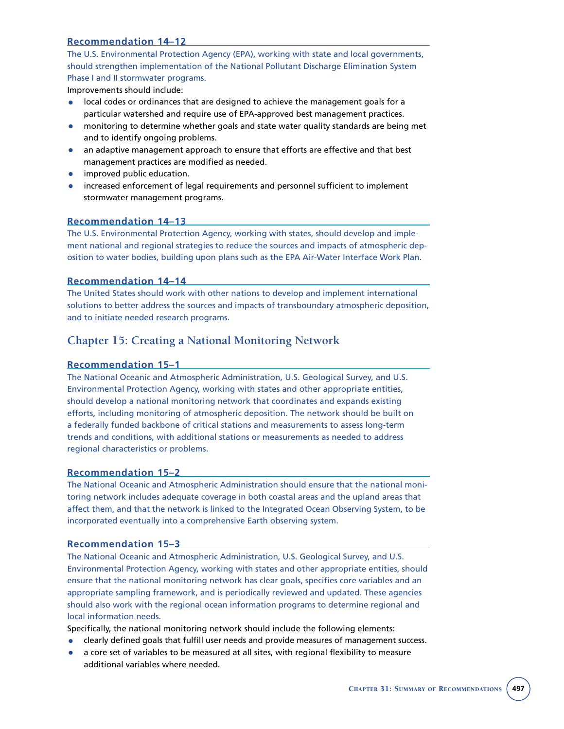The U.S. Environmental Protection Agency (EPA), working with state and local governments, should strengthen implementation of the National Pollutant Discharge Elimination System Phase I and II stormwater programs.

Improvements should include:

- local codes or ordinances that are designed to achieve the management goals for a particular watershed and require use of EPA-approved best management practices.
- monitoring to determine whether goals and state water quality standards are being met and to identify ongoing problems.
- an adaptive management approach to ensure that efforts are effective and that best management practices are modified as needed.
- improved public education.
- increased enforcement of legal requirements and personnel sufficient to implement stormwater management programs.

# **Recommendation 14–13**

The U.S. Environmental Protection Agency, working with states, should develop and implement national and regional strategies to reduce the sources and impacts of atmospheric deposition to water bodies, building upon plans such as the EPA Air-Water Interface Work Plan.

# **Recommendation 14–14**

The United States should work with other nations to develop and implement international solutions to better address the sources and impacts of transboundary atmospheric deposition, and to initiate needed research programs.

# **Chapter 15: Creating a National Monitoring Network**

# **Recommendation 15–1**

The National Oceanic and Atmospheric Administration, U.S. Geological Survey, and U.S. Environmental Protection Agency, working with states and other appropriate entities, should develop a national monitoring network that coordinates and expands existing efforts, including monitoring of atmospheric deposition. The network should be built on a federally funded backbone of critical stations and measurements to assess long-term trends and conditions, with additional stations or measurements as needed to address regional characteristics or problems.

# **Recommendation 15–2**

The National Oceanic and Atmospheric Administration should ensure that the national monitoring network includes adequate coverage in both coastal areas and the upland areas that affect them, and that the network is linked to the Integrated Ocean Observing System, to be incorporated eventually into a comprehensive Earth observing system.

# **Recommendation 15–3**

The National Oceanic and Atmospheric Administration, U.S. Geological Survey, and U.S. Environmental Protection Agency, working with states and other appropriate entities, should ensure that the national monitoring network has clear goals, specifies core variables and an appropriate sampling framework, and is periodically reviewed and updated. These agencies should also work with the regional ocean information programs to determine regional and local information needs.

Specifically, the national monitoring network should include the following elements:

- clearly defined goals that fulfill user needs and provide measures of management success.
- a core set of variables to be measured at all sites, with regional flexibility to measure additional variables where needed.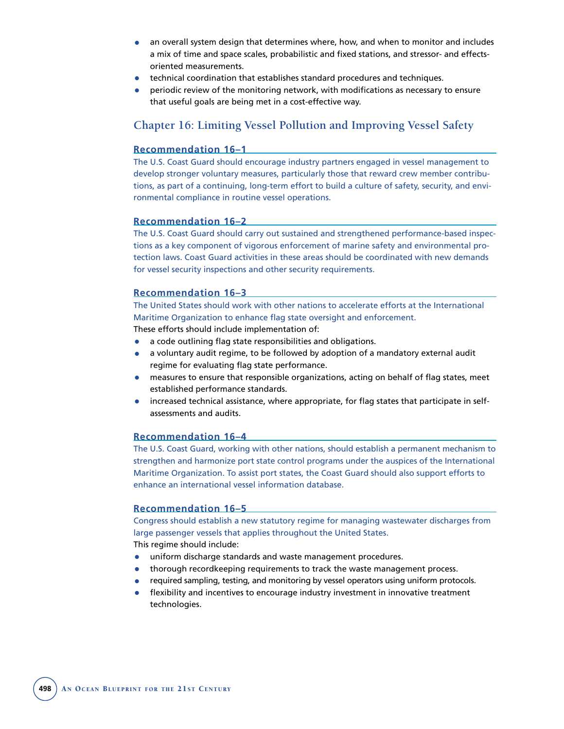- an overall system design that determines where, how, and when to monitor and includes a mix of time and space scales, probabilistic and fixed stations, and stressor- and effectsoriented measurements.
- technical coordination that establishes standard procedures and techniques.
- periodic review of the monitoring network, with modifications as necessary to ensure that useful goals are being met in a cost-effective way.

# **Chapter 16: Limiting Vessel Pollution and Improving Vessel Safety**

#### **Recommendation 16–1**

The U.S. Coast Guard should encourage industry partners engaged in vessel management to develop stronger voluntary measures, particularly those that reward crew member contributions, as part of a continuing, long-term effort to build a culture of safety, security, and environmental compliance in routine vessel operations.

#### **Recommendation 16–2**

The U.S. Coast Guard should carry out sustained and strengthened performance-based inspections as a key component of vigorous enforcement of marine safety and environmental protection laws. Coast Guard activities in these areas should be coordinated with new demands for vessel security inspections and other security requirements.

#### **Recommendation 16–3**

The United States should work with other nations to accelerate efforts at the International Maritime Organization to enhance flag state oversight and enforcement.

These efforts should include implementation of:

- a code outlining flag state responsibilities and obligations.<br>• a voluntary audit regime, to be followed by adoption of a
- a voluntary audit regime, to be followed by adoption of a mandatory external audit regime for evaluating flag state performance.
- measures to ensure that responsible organizations, acting on behalf of flag states, meet established performance standards.
- increased technical assistance, where appropriate, for flag states that participate in selfassessments and audits.

#### **Recommendation 16–4**

The U.S. Coast Guard, working with other nations, should establish a permanent mechanism to strengthen and harmonize port state control programs under the auspices of the International Maritime Organization. To assist port states, the Coast Guard should also support efforts to enhance an international vessel information database.

#### **Recommendation 16–5**

Congress should establish a new statutory regime for managing wastewater discharges from large passenger vessels that applies throughout the United States. This regime should include:

• uniform discharge standards and waste management procedures.

- thorough recordkeeping requirements to track the waste management process.
- required sampling, testing, and monitoring by vessel operators using uniform protocols.
- flexibility and incentives to encourage industry investment in innovative treatment technologies.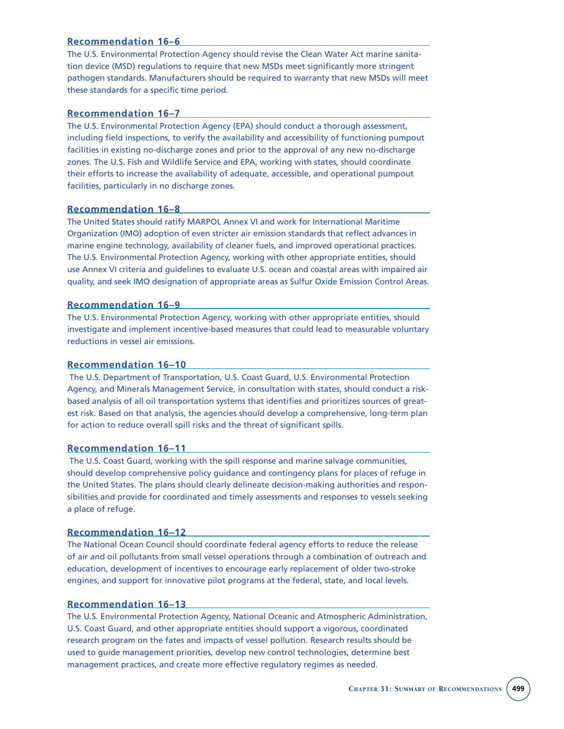The U.S. Environmental Protection Agency should revise the Clean Water Act marine sanitation device (MSD) regulations to require that new MSDs meet significantly more stringent pathogen standards. Manufacturers should be required to warranty that new MSDs will meet these standards for a specific time period.

# **Recommendation 16–7**

The U.S. Environmental Protection Agency (EPA) should conduct a thorough assessment, including field inspections, to verify the availability and accessibility of functioning pumpout facilities in existing no-discharge zones and prior to the approval of any new no-discharge zones. The U.S. Fish and Wildlife Service and EPA, working with states, should coordinate their efforts to increase the availability of adequate, accessible, and operational pumpout facilities, particularly in no discharge zones.

#### **Recommendation 16–8**

The United States should ratify MARPOL Annex VI and work for International Maritime Organization (IMO) adoption of even stricter air emission standards that reflect advances in marine engine technology, availability of cleaner fuels, and improved operational practices. The U.S. Environmental Protection Agency, working with other appropriate entities, should use Annex VI criteria and guidelines to evaluate U.S. ocean and coastal areas with impaired air quality, and seek IMO designation of appropriate areas as Sulfur Oxide Emission Control Areas.

#### **Recommendation 16–9**

The U.S. Environmental Protection Agency, working with other appropriate entities, should investigate and implement incentive-based measures that could lead to measurable voluntary reductions in vessel air emissions.

#### **Recommendation 16–10**

The U.S. Department of Transportation, U.S. Coast Guard, U.S. Environmental Protection Agency, and Minerals Management Service, in consultation with states, should conduct a riskbased analysis of all oil transportation systems that identifies and prioritizes sources of greatest risk. Based on that analysis, the agencies should develop a comprehensive, long-term plan for action to reduce overall spill risks and the threat of significant spills.

#### **Recommendation 16–11**

The U.S. Coast Guard, working with the spill response and marine salvage communities, should develop comprehensive policy guidance and contingency plans for places of refuge in the United States. The plans should clearly delineate decision-making authorities and responsibilities and provide for coordinated and timely assessments and responses to vessels seeking a place of refuge.

# **Recommendation 16–12**

The National Ocean Council should coordinate federal agency efforts to reduce the release of air and oil pollutants from small vessel operations through a combination of outreach and education, development of incentives to encourage early replacement of older two-stroke engines, and support for innovative pilot programs at the federal, state, and local levels.

# **Recommendation 16–13**

The U.S. Environmental Protection Agency, National Oceanic and Atmospheric Administration, U.S. Coast Guard, and other appropriate entities should support a vigorous, coordinated research program on the fates and impacts of vessel pollution. Research results should be used to guide management priorities, develop new control technologies, determine best management practices, and create more effective regulatory regimes as needed.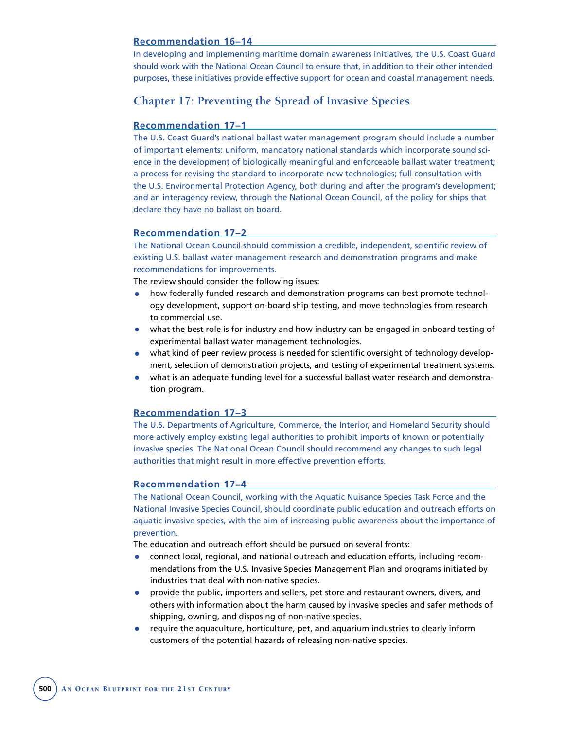In developing and implementing maritime domain awareness initiatives, the U.S. Coast Guard should work with the National Ocean Council to ensure that, in addition to their other intended purposes, these initiatives provide effective support for ocean and coastal management needs.

# **Chapter 17: Preventing the Spread of Invasive Species**

# **Recommendation 17–1**

The U.S. Coast Guard's national ballast water management program should include a number of important elements: uniform, mandatory national standards which incorporate sound science in the development of biologically meaningful and enforceable ballast water treatment; a process for revising the standard to incorporate new technologies; full consultation with the U.S. Environmental Protection Agency, both during and after the program's development; and an interagency review, through the National Ocean Council, of the policy for ships that declare they have no ballast on board.

#### **Recommendation 17–2**

The National Ocean Council should commission a credible, independent, scientific review of existing U.S. ballast water management research and demonstration programs and make recommendations for improvements.

The review should consider the following issues:

- how federally funded research and demonstration programs can best promote technology development, support on-board ship testing, and move technologies from research to commercial use.
- what the best role is for industry and how industry can be engaged in onboard testing of experimental ballast water management technologies.
- what kind of peer review process is needed for scientific oversight of technology development, selection of demonstration projects, and testing of experimental treatment systems.
- what is an adequate funding level for a successful ballast water research and demonstration program.

#### **Recommendation 17–3**

The U.S. Departments of Agriculture, Commerce, the Interior, and Homeland Security should more actively employ existing legal authorities to prohibit imports of known or potentially invasive species. The National Ocean Council should recommend any changes to such legal authorities that might result in more effective prevention efforts.

#### **Recommendation 17–4**

The National Ocean Council, working with the Aquatic Nuisance Species Task Force and the National Invasive Species Council, should coordinate public education and outreach efforts on aquatic invasive species, with the aim of increasing public awareness about the importance of prevention.

The education and outreach effort should be pursued on several fronts:

- connect local, regional, and national outreach and education efforts, including recommendations from the U.S. Invasive Species Management Plan and programs initiated by industries that deal with non-native species.
- provide the public, importers and sellers, pet store and restaurant owners, divers, and others with information about the harm caused by invasive species and safer methods of shipping, owning, and disposing of non-native species.
- require the aquaculture, horticulture, pet, and aquarium industries to clearly inform customers of the potential hazards of releasing non-native species.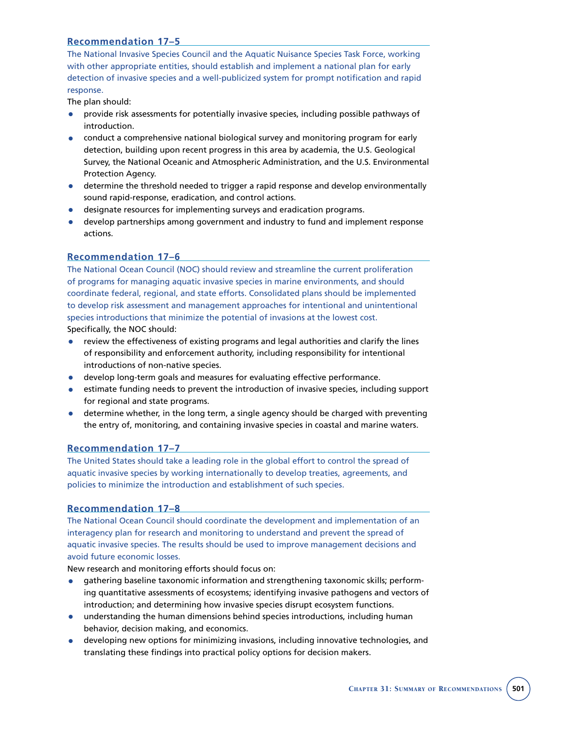The National Invasive Species Council and the Aquatic Nuisance Species Task Force, working with other appropriate entities, should establish and implement a national plan for early detection of invasive species and a well-publicized system for prompt notification and rapid response.

The plan should:

- provide risk assessments for potentially invasive species, including possible pathways of introduction.
- conduct a comprehensive national biological survey and monitoring program for early detection, building upon recent progress in this area by academia, the U.S. Geological Survey, the National Oceanic and Atmospheric Administration, and the U.S. Environmental Protection Agency.
- determine the threshold needed to trigger a rapid response and develop environmentally sound rapid-response, eradication, and control actions.
- designate resources for implementing surveys and eradication programs.
- develop partnerships among government and industry to fund and implement response actions.

# **Recommendation 17–6**

The National Ocean Council (NOC) should review and streamline the current proliferation of programs for managing aquatic invasive species in marine environments, and should coordinate federal, regional, and state efforts. Consolidated plans should be implemented to develop risk assessment and management approaches for intentional and unintentional species introductions that minimize the potential of invasions at the lowest cost. Specifically, the NOC should:

- review the effectiveness of existing programs and legal authorities and clarify the lines of responsibility and enforcement authority, including responsibility for intentional introductions of non-native species.
- develop long-term goals and measures for evaluating effective performance.
- estimate funding needs to prevent the introduction of invasive species, including support for regional and state programs.
- determine whether, in the long term, a single agency should be charged with preventing the entry of, monitoring, and containing invasive species in coastal and marine waters.

# **Recommendation 17–7**

The United States should take a leading role in the global effort to control the spread of aquatic invasive species by working internationally to develop treaties, agreements, and policies to minimize the introduction and establishment of such species.

# **Recommendation 17–8**

The National Ocean Council should coordinate the development and implementation of an interagency plan for research and monitoring to understand and prevent the spread of aquatic invasive species. The results should be used to improve management decisions and avoid future economic losses.

New research and monitoring efforts should focus on:

- gathering baseline taxonomic information and strengthening taxonomic skills; performing quantitative assessments of ecosystems; identifying invasive pathogens and vectors of introduction; and determining how invasive species disrupt ecosystem functions.
- understanding the human dimensions behind species introductions, including human behavior, decision making, and economics.
- developing new options for minimizing invasions, including innovative technologies, and translating these findings into practical policy options for decision makers.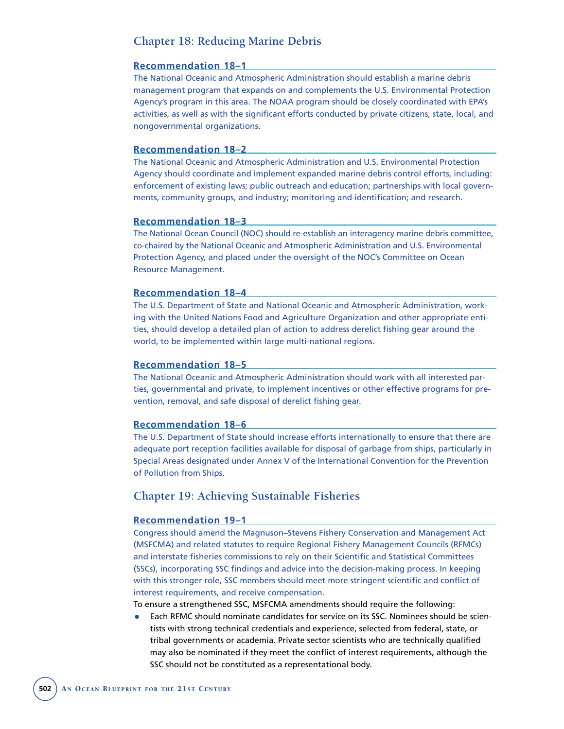# **Chapter 18: Reducing Marine Debris**

#### **Recommendation 18–1**

The National Oceanic and Atmospheric Administration should establish a marine debris management program that expands on and complements the U.S. Environmental Protection Agency's program in this area. The NOAA program should be closely coordinated with EPA's activities, as well as with the significant efforts conducted by private citizens, state, local, and nongovernmental organizations.

#### **Recommendation 18–2**

The National Oceanic and Atmospheric Administration and U.S. Environmental Protection Agency should coordinate and implement expanded marine debris control efforts, including: enforcement of existing laws; public outreach and education; partnerships with local governments, community groups, and industry; monitoring and identification; and research.

#### **Recommendation 18–3**

The National Ocean Council (NOC) should re-establish an interagency marine debris committee, co-chaired by the National Oceanic and Atmospheric Administration and U.S. Environmental Protection Agency, and placed under the oversight of the NOC's Committee on Ocean Resource Management.

#### **Recommendation 18–4**

The U.S. Department of State and National Oceanic and Atmospheric Administration, working with the United Nations Food and Agriculture Organization and other appropriate entities, should develop a detailed plan of action to address derelict fishing gear around the world, to be implemented within large multi-national regions.

#### **Recommendation 18–5**

The National Oceanic and Atmospheric Administration should work with all interested parties, governmental and private, to implement incentives or other effective programs for prevention, removal, and safe disposal of derelict fishing gear.

#### **Recommendation 18–6**

The U.S. Department of State should increase efforts internationally to ensure that there are adequate port reception facilities available for disposal of garbage from ships, particularly in Special Areas designated under Annex V of the International Convention for the Prevention of Pollution from Ships.

# **Chapter 19: Achieving Sustainable Fisheries**

#### **Recommendation 19–1**

Congress should amend the Magnuson–Stevens Fishery Conservation and Management Act (MSFCMA) and related statutes to require Regional Fishery Management Councils (RFMCs) and interstate fisheries commissions to rely on their Scientific and Statistical Committees (SSCs), incorporating SSC findings and advice into the decision-making process. In keeping with this stronger role, SSC members should meet more stringent scientific and conflict of interest requirements, and receive compensation.

To ensure a strengthened SSC, MSFCMA amendments should require the following:

• Each RFMC should nominate candidates for service on its SSC. Nominees should be scientists with strong technical credentials and experience, selected from federal, state, or tribal governments or academia. Private sector scientists who are technically qualified may also be nominated if they meet the conflict of interest requirements, although the SSC should not be constituted as a representational body.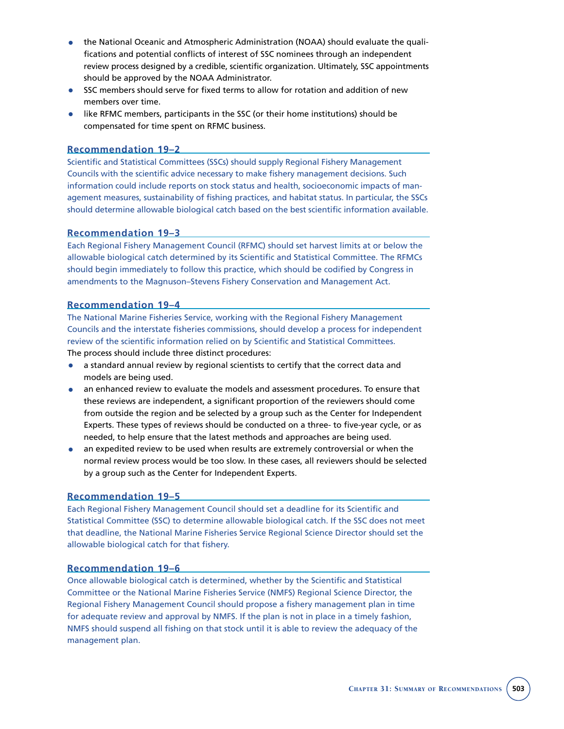- the National Oceanic and Atmospheric Administration (NOAA) should evaluate the qualifications and potential conflicts of interest of SSC nominees through an independent review process designed by a credible, scientific organization. Ultimately, SSC appointments should be approved by the NOAA Administrator.
- SSC members should serve for fixed terms to allow for rotation and addition of new members over time.
- like RFMC members, participants in the SSC (or their home institutions) should be compensated for time spent on RFMC business.

Scientific and Statistical Committees (SSCs) should supply Regional Fishery Management Councils with the scientific advice necessary to make fishery management decisions. Such information could include reports on stock status and health, socioeconomic impacts of management measures, sustainability of fishing practices, and habitat status. In particular, the SSCs should determine allowable biological catch based on the best scientific information available.

# **Recommendation 19–3**

Each Regional Fishery Management Council (RFMC) should set harvest limits at or below the allowable biological catch determined by its Scientific and Statistical Committee. The RFMCs should begin immediately to follow this practice, which should be codified by Congress in amendments to the Magnuson–Stevens Fishery Conservation and Management Act.

#### **Recommendation 19–4**

The National Marine Fisheries Service, working with the Regional Fishery Management Councils and the interstate fisheries commissions, should develop a process for independent review of the scientific information relied on by Scientific and Statistical Committees. The process should include three distinct procedures:

- a standard annual review by regional scientists to certify that the correct data and models are being used.
- an enhanced review to evaluate the models and assessment procedures. To ensure that these reviews are independent, a significant proportion of the reviewers should come from outside the region and be selected by a group such as the Center for Independent Experts. These types of reviews should be conducted on a three- to five-year cycle, or as needed, to help ensure that the latest methods and approaches are being used.
- an expedited review to be used when results are extremely controversial or when the normal review process would be too slow. In these cases, all reviewers should be selected by a group such as the Center for Independent Experts.

# **Recommendation 19–5**

Each Regional Fishery Management Council should set a deadline for its Scientific and Statistical Committee (SSC) to determine allowable biological catch. If the SSC does not meet that deadline, the National Marine Fisheries Service Regional Science Director should set the allowable biological catch for that fishery.

# **Recommendation 19–6**

Once allowable biological catch is determined, whether by the Scientific and Statistical Committee or the National Marine Fisheries Service (NMFS) Regional Science Director, the Regional Fishery Management Council should propose a fishery management plan in time for adequate review and approval by NMFS. If the plan is not in place in a timely fashion, NMFS should suspend all fishing on that stock until it is able to review the adequacy of the management plan.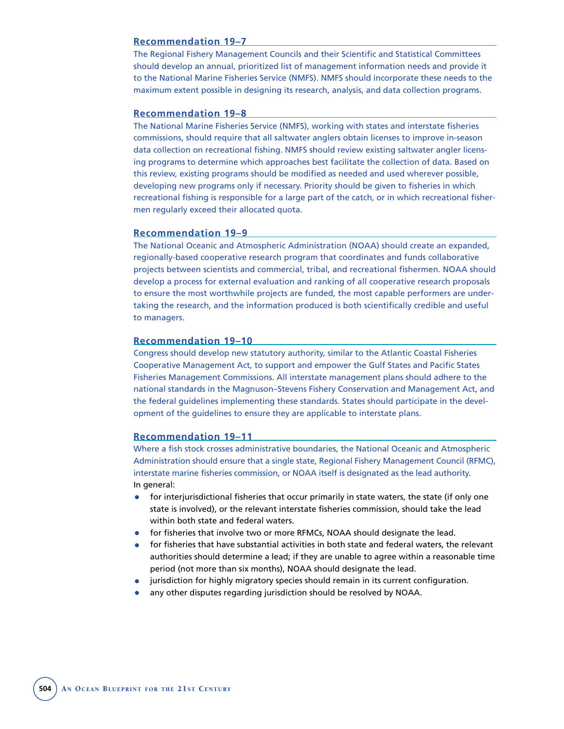The Regional Fishery Management Councils and their Scientific and Statistical Committees should develop an annual, prioritized list of management information needs and provide it to the National Marine Fisheries Service (NMFS). NMFS should incorporate these needs to the maximum extent possible in designing its research, analysis, and data collection programs.

#### **Recommendation 19–8**

The National Marine Fisheries Service (NMFS), working with states and interstate fisheries commissions, should require that all saltwater anglers obtain licenses to improve in-season data collection on recreational fishing. NMFS should review existing saltwater angler licensing programs to determine which approaches best facilitate the collection of data. Based on this review, existing programs should be modified as needed and used wherever possible, developing new programs only if necessary. Priority should be given to fisheries in which recreational fishing is responsible for a large part of the catch, or in which recreational fishermen regularly exceed their allocated quota.

#### **Recommendation 19–9**

The National Oceanic and Atmospheric Administration (NOAA) should create an expanded, regionally-based cooperative research program that coordinates and funds collaborative projects between scientists and commercial, tribal, and recreational fishermen. NOAA should develop a process for external evaluation and ranking of all cooperative research proposals to ensure the most worthwhile projects are funded, the most capable performers are undertaking the research, and the information produced is both scientifically credible and useful to managers.

#### **Recommendation 19–10**

Congress should develop new statutory authority, similar to the Atlantic Coastal Fisheries Cooperative Management Act, to support and empower the Gulf States and Pacific States Fisheries Management Commissions. All interstate management plans should adhere to the national standards in the Magnuson–Stevens Fishery Conservation and Management Act, and the federal guidelines implementing these standards. States should participate in the development of the guidelines to ensure they are applicable to interstate plans.

#### **Recommendation 19–11**

Where a fish stock crosses administrative boundaries, the National Oceanic and Atmospheric Administration should ensure that a single state, Regional Fishery Management Council (RFMC), interstate marine fisheries commission, or NOAA itself is designated as the lead authority. In general:

- for interjurisdictional fisheries that occur primarily in state waters, the state (if only one state is involved), or the relevant interstate fisheries commission, should take the lead within both state and federal waters.
- for fisheries that involve two or more RFMCs, NOAA should designate the lead.
- for fisheries that have substantial activities in both state and federal waters, the relevant authorities should determine a lead; if they are unable to agree within a reasonable time period (not more than six months), NOAA should designate the lead.
- jurisdiction for highly migratory species should remain in its current configuration.
- any other disputes regarding jurisdiction should be resolved by NOAA.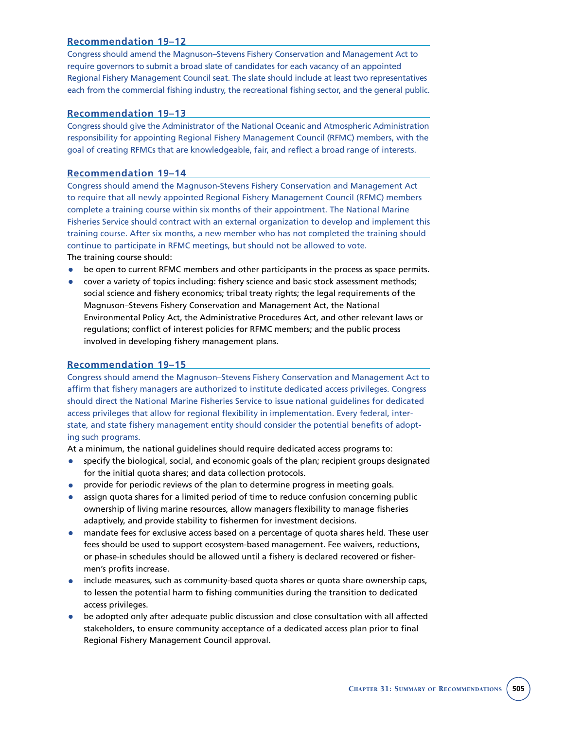Congress should amend the Magnuson–Stevens Fishery Conservation and Management Act to require governors to submit a broad slate of candidates for each vacancy of an appointed Regional Fishery Management Council seat. The slate should include at least two representatives each from the commercial fishing industry, the recreational fishing sector, and the general public.

# **Recommendation 19–13**

Congress should give the Administrator of the National Oceanic and Atmospheric Administration responsibility for appointing Regional Fishery Management Council (RFMC) members, with the goal of creating RFMCs that are knowledgeable, fair, and reflect a broad range of interests.

#### **Recommendation 19–14**

Congress should amend the Magnuson-Stevens Fishery Conservation and Management Act to require that all newly appointed Regional Fishery Management Council (RFMC) members complete a training course within six months of their appointment. The National Marine Fisheries Service should contract with an external organization to develop and implement this training course. After six months, a new member who has not completed the training should continue to participate in RFMC meetings, but should not be allowed to vote. The training course should:

- be open to current RFMC members and other participants in the process as space permits.
- cover a variety of topics including: fishery science and basic stock assessment methods; social science and fishery economics; tribal treaty rights; the legal requirements of the Magnuson–Stevens Fishery Conservation and Management Act, the National Environmental Policy Act, the Administrative Procedures Act, and other relevant laws or regulations; conflict of interest policies for RFMC members; and the public process involved in developing fishery management plans.

# **Recommendation 19–15**

Congress should amend the Magnuson–Stevens Fishery Conservation and Management Act to affirm that fishery managers are authorized to institute dedicated access privileges. Congress should direct the National Marine Fisheries Service to issue national guidelines for dedicated access privileges that allow for regional flexibility in implementation. Every federal, interstate, and state fishery management entity should consider the potential benefits of adopting such programs.

At a minimum, the national guidelines should require dedicated access programs to:

- specify the biological, social, and economic goals of the plan; recipient groups designated for the initial quota shares; and data collection protocols.
- provide for periodic reviews of the plan to determine progress in meeting goals.
- assign quota shares for a limited period of time to reduce confusion concerning public ownership of living marine resources, allow managers flexibility to manage fisheries adaptively, and provide stability to fishermen for investment decisions.
- mandate fees for exclusive access based on a percentage of quota shares held. These user fees should be used to support ecosystem-based management. Fee waivers, reductions, or phase-in schedules should be allowed until a fishery is declared recovered or fishermen's profits increase.
- include measures, such as community-based quota shares or quota share ownership caps, to lessen the potential harm to fishing communities during the transition to dedicated access privileges.
- be adopted only after adequate public discussion and close consultation with all affected stakeholders, to ensure community acceptance of a dedicated access plan prior to final Regional Fishery Management Council approval.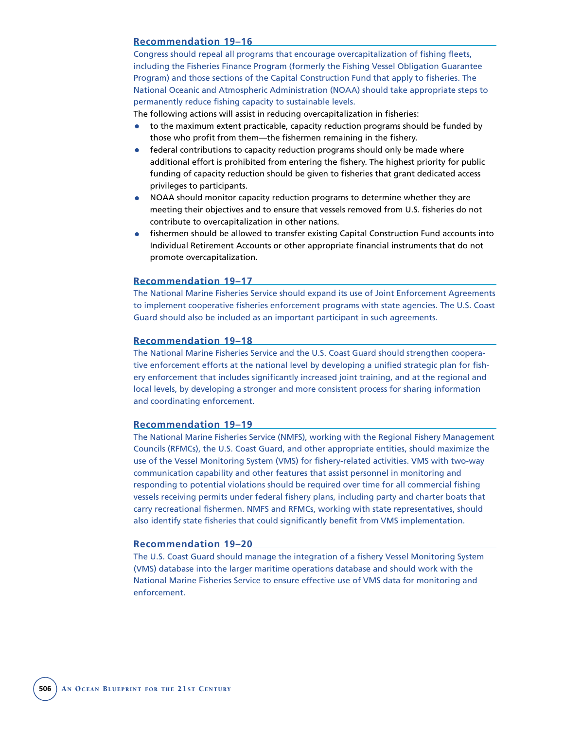Congress should repeal all programs that encourage overcapitalization of fishing fleets, including the Fisheries Finance Program (formerly the Fishing Vessel Obligation Guarantee Program) and those sections of the Capital Construction Fund that apply to fisheries. The National Oceanic and Atmospheric Administration (NOAA) should take appropriate steps to permanently reduce fishing capacity to sustainable levels.

The following actions will assist in reducing overcapitalization in fisheries:

- to the maximum extent practicable, capacity reduction programs should be funded by those who profit from them—the fishermen remaining in the fishery.
- federal contributions to capacity reduction programs should only be made where additional effort is prohibited from entering the fishery. The highest priority for public funding of capacity reduction should be given to fisheries that grant dedicated access privileges to participants.
- NOAA should monitor capacity reduction programs to determine whether they are meeting their objectives and to ensure that vessels removed from U.S. fisheries do not contribute to overcapitalization in other nations.
- fishermen should be allowed to transfer existing Capital Construction Fund accounts into Individual Retirement Accounts or other appropriate financial instruments that do not promote overcapitalization.

#### **Recommendation 19–17**

The National Marine Fisheries Service should expand its use of Joint Enforcement Agreements to implement cooperative fisheries enforcement programs with state agencies. The U.S. Coast Guard should also be included as an important participant in such agreements.

#### **Recommendation 19–18**

The National Marine Fisheries Service and the U.S. Coast Guard should strengthen cooperative enforcement efforts at the national level by developing a unified strategic plan for fishery enforcement that includes significantly increased joint training, and at the regional and local levels, by developing a stronger and more consistent process for sharing information and coordinating enforcement.

#### **Recommendation 19–19**

The National Marine Fisheries Service (NMFS), working with the Regional Fishery Management Councils (RFMCs), the U.S. Coast Guard, and other appropriate entities, should maximize the use of the Vessel Monitoring System (VMS) for fishery-related activities. VMS with two-way communication capability and other features that assist personnel in monitoring and responding to potential violations should be required over time for all commercial fishing vessels receiving permits under federal fishery plans, including party and charter boats that carry recreational fishermen. NMFS and RFMCs, working with state representatives, should also identify state fisheries that could significantly benefit from VMS implementation.

#### **Recommendation 19–20**

The U.S. Coast Guard should manage the integration of a fishery Vessel Monitoring System (VMS) database into the larger maritime operations database and should work with the National Marine Fisheries Service to ensure effective use of VMS data for monitoring and enforcement.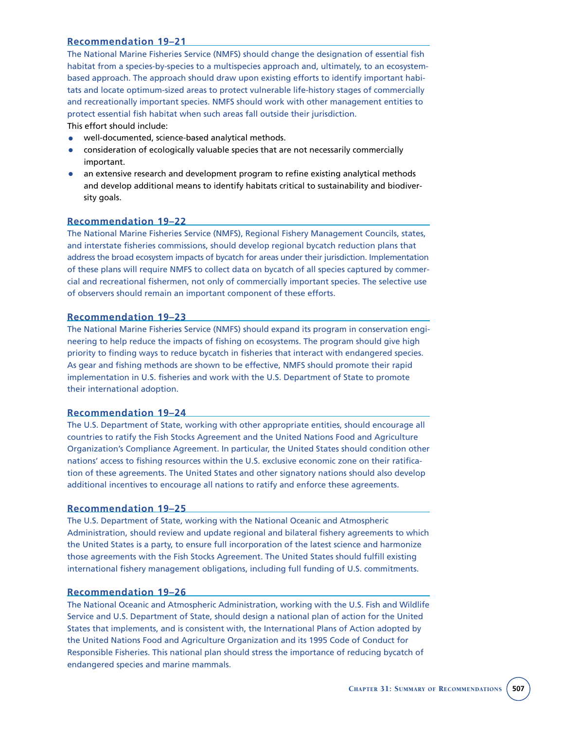The National Marine Fisheries Service (NMFS) should change the designation of essential fish habitat from a species-by-species to a multispecies approach and, ultimately, to an ecosystembased approach. The approach should draw upon existing efforts to identify important habitats and locate optimum-sized areas to protect vulnerable life-history stages of commercially and recreationally important species. NMFS should work with other management entities to protect essential fish habitat when such areas fall outside their jurisdiction.

This effort should include:

- well-documented, science-based analytical methods.
- consideration of ecologically valuable species that are not necessarily commercially important.
- an extensive research and development program to refine existing analytical methods and develop additional means to identify habitats critical to sustainability and biodiversity goals.

# **Recommendation 19–22**

The National Marine Fisheries Service (NMFS), Regional Fishery Management Councils, states, and interstate fisheries commissions, should develop regional bycatch reduction plans that address the broad ecosystem impacts of bycatch for areas under their jurisdiction. Implementation of these plans will require NMFS to collect data on bycatch of all species captured by commercial and recreational fishermen, not only of commercially important species. The selective use of observers should remain an important component of these efforts.

# **Recommendation 19–23**

The National Marine Fisheries Service (NMFS) should expand its program in conservation engineering to help reduce the impacts of fishing on ecosystems. The program should give high priority to finding ways to reduce bycatch in fisheries that interact with endangered species. As gear and fishing methods are shown to be effective, NMFS should promote their rapid implementation in U.S. fisheries and work with the U.S. Department of State to promote their international adoption.

# **Recommendation 19–24**

The U.S. Department of State, working with other appropriate entities, should encourage all countries to ratify the Fish Stocks Agreement and the United Nations Food and Agriculture Organization's Compliance Agreement. In particular, the United States should condition other nations' access to fishing resources within the U.S. exclusive economic zone on their ratification of these agreements. The United States and other signatory nations should also develop additional incentives to encourage all nations to ratify and enforce these agreements.

# **Recommendation 19–25**

The U.S. Department of State, working with the National Oceanic and Atmospheric Administration, should review and update regional and bilateral fishery agreements to which the United States is a party, to ensure full incorporation of the latest science and harmonize those agreements with the Fish Stocks Agreement. The United States should fulfill existing international fishery management obligations, including full funding of U.S. commitments.

# **Recommendation 19–26**

The National Oceanic and Atmospheric Administration, working with the U.S. Fish and Wildlife Service and U.S. Department of State, should design a national plan of action for the United States that implements, and is consistent with, the International Plans of Action adopted by the United Nations Food and Agriculture Organization and its 1995 Code of Conduct for Responsible Fisheries. This national plan should stress the importance of reducing bycatch of endangered species and marine mammals.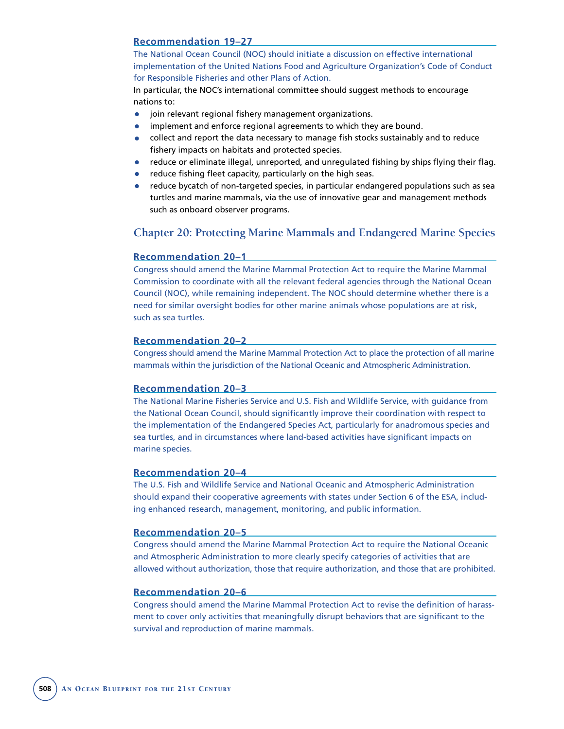The National Ocean Council (NOC) should initiate a discussion on effective international implementation of the United Nations Food and Agriculture Organization's Code of Conduct for Responsible Fisheries and other Plans of Action.

In particular, the NOC's international committee should suggest methods to encourage nations to:

- join relevant regional fishery management organizations.
- implement and enforce regional agreements to which they are bound.
- collect and report the data necessary to manage fish stocks sustainably and to reduce fishery impacts on habitats and protected species.
- reduce or eliminate illegal, unreported, and unregulated fishing by ships flying their flag.
- reduce fishing fleet capacity, particularly on the high seas.
- reduce bycatch of non-targeted species, in particular endangered populations such as sea turtles and marine mammals, via the use of innovative gear and management methods such as onboard observer programs.

# **Chapter 20: Protecting Marine Mammals and Endangered Marine Species**

#### **Recommendation 20–1**

Congress should amend the Marine Mammal Protection Act to require the Marine Mammal Commission to coordinate with all the relevant federal agencies through the National Ocean Council (NOC), while remaining independent. The NOC should determine whether there is a need for similar oversight bodies for other marine animals whose populations are at risk, such as sea turtles.

#### **Recommendation 20–2**

Congress should amend the Marine Mammal Protection Act to place the protection of all marine mammals within the jurisdiction of the National Oceanic and Atmospheric Administration.

#### **Recommendation 20–3**

The National Marine Fisheries Service and U.S. Fish and Wildlife Service, with guidance from the National Ocean Council, should significantly improve their coordination with respect to the implementation of the Endangered Species Act, particularly for anadromous species and sea turtles, and in circumstances where land-based activities have significant impacts on marine species.

#### **Recommendation 20–4**

The U.S. Fish and Wildlife Service and National Oceanic and Atmospheric Administration should expand their cooperative agreements with states under Section 6 of the ESA, including enhanced research, management, monitoring, and public information.

#### **Recommendation 20–5**

Congress should amend the Marine Mammal Protection Act to require the National Oceanic and Atmospheric Administration to more clearly specify categories of activities that are allowed without authorization, those that require authorization, and those that are prohibited.

#### **Recommendation 20–6**

Congress should amend the Marine Mammal Protection Act to revise the definition of harassment to cover only activities that meaningfully disrupt behaviors that are significant to the survival and reproduction of marine mammals.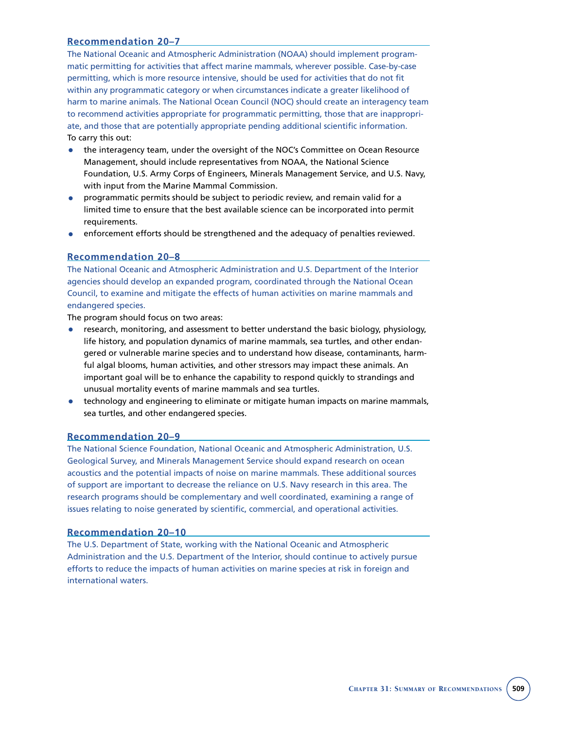# **Recommendation 20–7**

The National Oceanic and Atmospheric Administration (NOAA) should implement programmatic permitting for activities that affect marine mammals, wherever possible. Case-by-case permitting, which is more resource intensive, should be used for activities that do not fit within any programmatic category or when circumstances indicate a greater likelihood of harm to marine animals. The National Ocean Council (NOC) should create an interagency team to recommend activities appropriate for programmatic permitting, those that are inappropriate, and those that are potentially appropriate pending additional scientific information. To carry this out:

- the interagency team, under the oversight of the NOC's Committee on Ocean Resource Management, should include representatives from NOAA, the National Science Foundation, U.S. Army Corps of Engineers, Minerals Management Service, and U.S. Navy, with input from the Marine Mammal Commission.
- programmatic permits should be subject to periodic review, and remain valid for a limited time to ensure that the best available science can be incorporated into permit requirements.
- enforcement efforts should be strengthened and the adequacy of penalties reviewed.

# **Recommendation 20–8**

The National Oceanic and Atmospheric Administration and U.S. Department of the Interior agencies should develop an expanded program, coordinated through the National Ocean Council, to examine and mitigate the effects of human activities on marine mammals and endangered species.

The program should focus on two areas:

- research, monitoring, and assessment to better understand the basic biology, physiology, life history, and population dynamics of marine mammals, sea turtles, and other endangered or vulnerable marine species and to understand how disease, contaminants, harmful algal blooms, human activities, and other stressors may impact these animals. An important goal will be to enhance the capability to respond quickly to strandings and unusual mortality events of marine mammals and sea turtles.
- technology and engineering to eliminate or mitigate human impacts on marine mammals, sea turtles, and other endangered species.

# **Recommendation 20–9**

The National Science Foundation, National Oceanic and Atmospheric Administration, U.S. Geological Survey, and Minerals Management Service should expand research on ocean acoustics and the potential impacts of noise on marine mammals. These additional sources of support are important to decrease the reliance on U.S. Navy research in this area. The research programs should be complementary and well coordinated, examining a range of issues relating to noise generated by scientific, commercial, and operational activities.

# **Recommendation 20–10**

The U.S. Department of State, working with the National Oceanic and Atmospheric Administration and the U.S. Department of the Interior, should continue to actively pursue efforts to reduce the impacts of human activities on marine species at risk in foreign and international waters.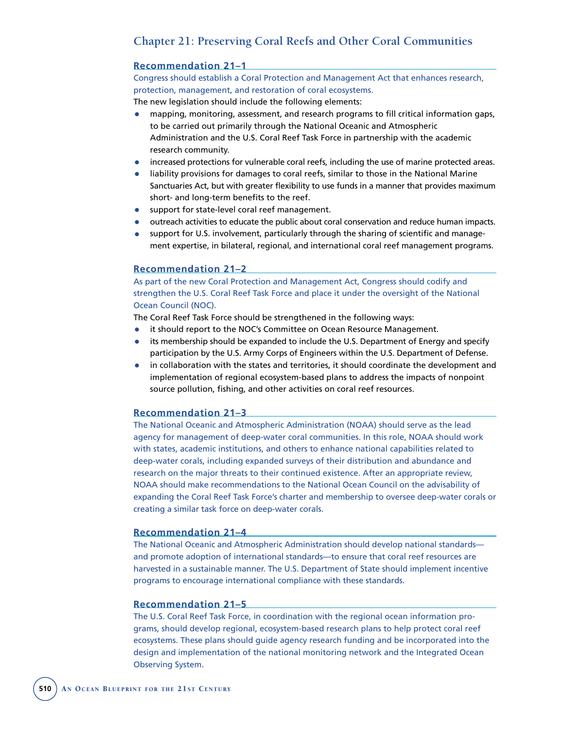# **Chapter 21: Preserving Coral Reefs and Other Coral Communities**

# **Recommendation 21–1**

Congress should establish a Coral Protection and Management Act that enhances research, protection, management, and restoration of coral ecosystems.

The new legislation should include the following elements:

- mapping, monitoring, assessment, and research programs to fill critical information gaps, to be carried out primarily through the National Oceanic and Atmospheric Administration and the U.S. Coral Reef Task Force in partnership with the academic research community.
- increased protections for vulnerable coral reefs, including the use of marine protected areas.
- liability provisions for damages to coral reefs, similar to those in the National Marine Sanctuaries Act, but with greater flexibility to use funds in a manner that provides maximum short- and long-term benefits to the reef.
- support for state-level coral reef management.
- outreach activities to educate the public about coral conservation and reduce human impacts.
- support for U.S. involvement, particularly through the sharing of scientific and management expertise, in bilateral, regional, and international coral reef management programs.

# **Recommendation 21–2**

As part of the new Coral Protection and Management Act, Congress should codify and strengthen the U.S. Coral Reef Task Force and place it under the oversight of the National Ocean Council (NOC).

The Coral Reef Task Force should be strengthened in the following ways:

- it should report to the NOC's Committee on Ocean Resource Management.
- its membership should be expanded to include the U.S. Department of Energy and specify participation by the U.S. Army Corps of Engineers within the U.S. Department of Defense.
- in collaboration with the states and territories, it should coordinate the development and implementation of regional ecosystem-based plans to address the impacts of nonpoint source pollution, fishing, and other activities on coral reef resources.

# **Recommendation 21–3**

The National Oceanic and Atmospheric Administration (NOAA) should serve as the lead agency for management of deep-water coral communities. In this role, NOAA should work with states, academic institutions, and others to enhance national capabilities related to deep-water corals, including expanded surveys of their distribution and abundance and research on the major threats to their continued existence. After an appropriate review, NOAA should make recommendations to the National Ocean Council on the advisability of expanding the Coral Reef Task Force's charter and membership to oversee deep-water corals or creating a similar task force on deep-water corals.

# **Recommendation 21–4**

The National Oceanic and Atmospheric Administration should develop national standards and promote adoption of international standards—to ensure that coral reef resources are harvested in a sustainable manner. The U.S. Department of State should implement incentive programs to encourage international compliance with these standards.

# **Recommendation 21–5**

The U.S. Coral Reef Task Force, in coordination with the regional ocean information programs, should develop regional, ecosystem-based research plans to help protect coral reef ecosystems. These plans should guide agency research funding and be incorporated into the design and implementation of the national monitoring network and the Integrated Ocean Observing System.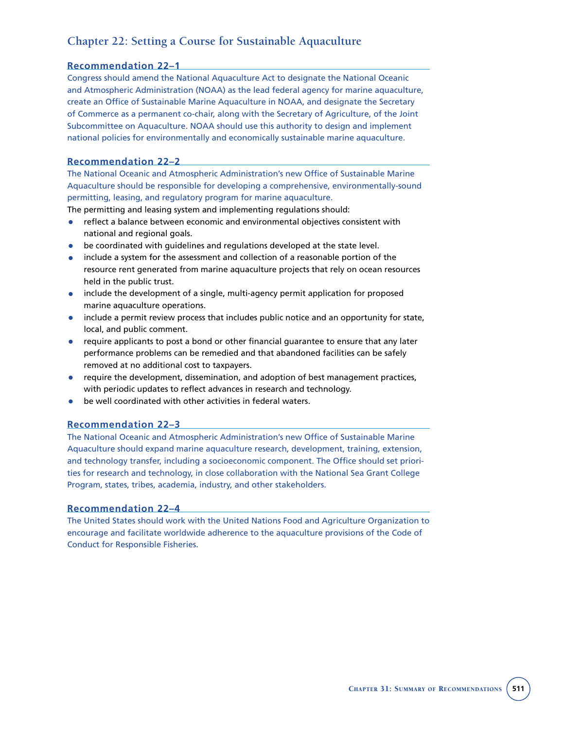# **Chapter 22: Setting a Course for Sustainable Aquaculture**

# **Recommendation 22–1**

Congress should amend the National Aquaculture Act to designate the National Oceanic and Atmospheric Administration (NOAA) as the lead federal agency for marine aquaculture, create an Office of Sustainable Marine Aquaculture in NOAA, and designate the Secretary of Commerce as a permanent co-chair, along with the Secretary of Agriculture, of the Joint Subcommittee on Aquaculture. NOAA should use this authority to design and implement national policies for environmentally and economically sustainable marine aquaculture.

# **Recommendation 22–2**

The National Oceanic and Atmospheric Administration's new Office of Sustainable Marine Aquaculture should be responsible for developing a comprehensive, environmentally-sound permitting, leasing, and regulatory program for marine aquaculture.

The permitting and leasing system and implementing regulations should:

- reflect a balance between economic and environmental objectives consistent with national and regional goals.
- be coordinated with guidelines and regulations developed at the state level.
- include a system for the assessment and collection of a reasonable portion of the resource rent generated from marine aquaculture projects that rely on ocean resources held in the public trust.
- include the development of a single, multi-agency permit application for proposed marine aquaculture operations.
- include a permit review process that includes public notice and an opportunity for state, local, and public comment.
- require applicants to post a bond or other financial guarantee to ensure that any later performance problems can be remedied and that abandoned facilities can be safely removed at no additional cost to taxpayers.
- require the development, dissemination, and adoption of best management practices, with periodic updates to reflect advances in research and technology.
- be well coordinated with other activities in federal waters.

# **Recommendation 22–3**

The National Oceanic and Atmospheric Administration's new Office of Sustainable Marine Aquaculture should expand marine aquaculture research, development, training, extension, and technology transfer, including a socioeconomic component. The Office should set priorities for research and technology, in close collaboration with the National Sea Grant College Program, states, tribes, academia, industry, and other stakeholders.

# **Recommendation 22–4**

The United States should work with the United Nations Food and Agriculture Organization to encourage and facilitate worldwide adherence to the aquaculture provisions of the Code of Conduct for Responsible Fisheries.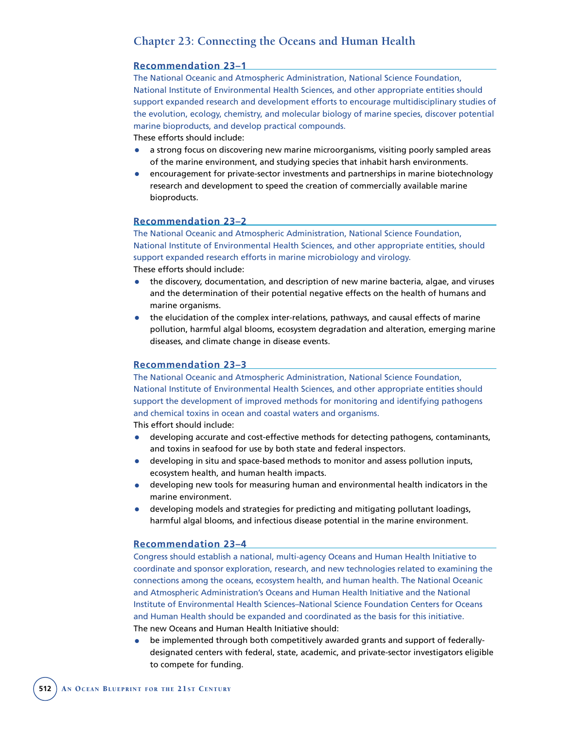# **Chapter 23: Connecting the Oceans and Human Health**

# **Recommendation 23–1**

The National Oceanic and Atmospheric Administration, National Science Foundation, National Institute of Environmental Health Sciences, and other appropriate entities should support expanded research and development efforts to encourage multidisciplinary studies of the evolution, ecology, chemistry, and molecular biology of marine species, discover potential marine bioproducts, and develop practical compounds.

These efforts should include:

- a strong focus on discovering new marine microorganisms, visiting poorly sampled areas of the marine environment, and studying species that inhabit harsh environments.
- encouragement for private-sector investments and partnerships in marine biotechnology research and development to speed the creation of commercially available marine bioproducts.

#### **Recommendation 23–2**

The National Oceanic and Atmospheric Administration, National Science Foundation, National Institute of Environmental Health Sciences, and other appropriate entities, should support expanded research efforts in marine microbiology and virology.

These efforts should include:

- the discovery, documentation, and description of new marine bacteria, algae, and viruses and the determination of their potential negative effects on the health of humans and marine organisms.
- the elucidation of the complex inter-relations, pathways, and causal effects of marine pollution, harmful algal blooms, ecosystem degradation and alteration, emerging marine diseases, and climate change in disease events.

#### **Recommendation 23–3**

The National Oceanic and Atmospheric Administration, National Science Foundation, National Institute of Environmental Health Sciences, and other appropriate entities should support the development of improved methods for monitoring and identifying pathogens and chemical toxins in ocean and coastal waters and organisms.

This effort should include:

- developing accurate and cost-effective methods for detecting pathogens, contaminants, and toxins in seafood for use by both state and federal inspectors.
- developing in situ and space-based methods to monitor and assess pollution inputs, ecosystem health, and human health impacts.
- developing new tools for measuring human and environmental health indicators in the marine environment.
- developing models and strategies for predicting and mitigating pollutant loadings, harmful algal blooms, and infectious disease potential in the marine environment.

#### **Recommendation 23–4**

Congress should establish a national, multi-agency Oceans and Human Health Initiative to coordinate and sponsor exploration, research, and new technologies related to examining the connections among the oceans, ecosystem health, and human health. The National Oceanic and Atmospheric Administration's Oceans and Human Health Initiative and the National Institute of Environmental Health Sciences–National Science Foundation Centers for Oceans and Human Health should be expanded and coordinated as the basis for this initiative.

The new Oceans and Human Health Initiative should:

• be implemented through both competitively awarded grants and support of federallydesignated centers with federal, state, academic, and private-sector investigators eligible to compete for funding.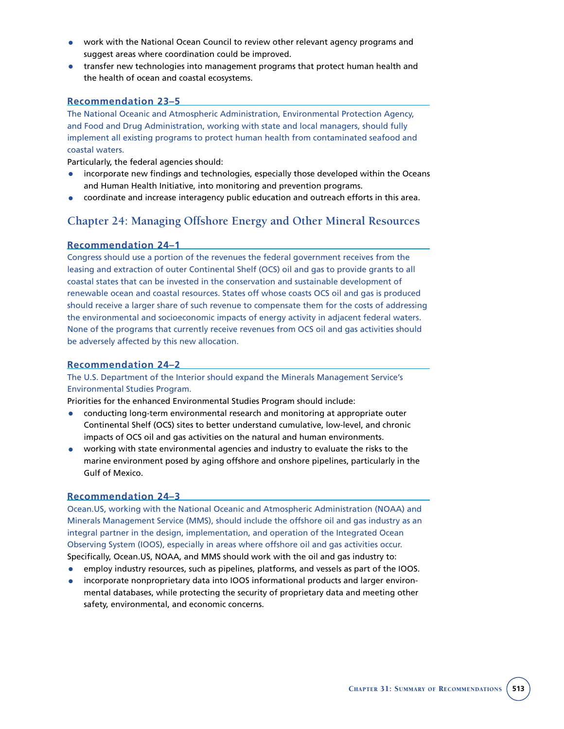- work with the National Ocean Council to review other relevant agency programs and suggest areas where coordination could be improved.
- transfer new technologies into management programs that protect human health and the health of ocean and coastal ecosystems.

# **Recommendation 23–5**

The National Oceanic and Atmospheric Administration, Environmental Protection Agency, and Food and Drug Administration, working with state and local managers, should fully implement all existing programs to protect human health from contaminated seafood and coastal waters.

Particularly, the federal agencies should:

- incorporate new findings and technologies, especially those developed within the Oceans and Human Health Initiative, into monitoring and prevention programs.
- coordinate and increase interagency public education and outreach efforts in this area.

# **Chapter 24: Managing Offshore Energy and Other Mineral Resources**

# **Recommendation 24–1**

Congress should use a portion of the revenues the federal government receives from the leasing and extraction of outer Continental Shelf (OCS) oil and gas to provide grants to all coastal states that can be invested in the conservation and sustainable development of renewable ocean and coastal resources. States off whose coasts OCS oil and gas is produced should receive a larger share of such revenue to compensate them for the costs of addressing the environmental and socioeconomic impacts of energy activity in adjacent federal waters. None of the programs that currently receive revenues from OCS oil and gas activities should be adversely affected by this new allocation.

# **Recommendation 24–2**

The U.S. Department of the Interior should expand the Minerals Management Service's Environmental Studies Program.

Priorities for the enhanced Environmental Studies Program should include:

- conducting long-term environmental research and monitoring at appropriate outer Continental Shelf (OCS) sites to better understand cumulative, low-level, and chronic impacts of OCS oil and gas activities on the natural and human environments.
- working with state environmental agencies and industry to evaluate the risks to the marine environment posed by aging offshore and onshore pipelines, particularly in the Gulf of Mexico.

# **Recommendation 24–3**

Ocean.US, working with the National Oceanic and Atmospheric Administration (NOAA) and Minerals Management Service (MMS), should include the offshore oil and gas industry as an integral partner in the design, implementation, and operation of the Integrated Ocean Observing System (IOOS), especially in areas where offshore oil and gas activities occur. Specifically, Ocean.US, NOAA, and MMS should work with the oil and gas industry to:

- employ industry resources, such as pipelines, platforms, and vessels as part of the IOOS.
- incorporate nonproprietary data into IOOS informational products and larger environmental databases, while protecting the security of proprietary data and meeting other safety, environmental, and economic concerns.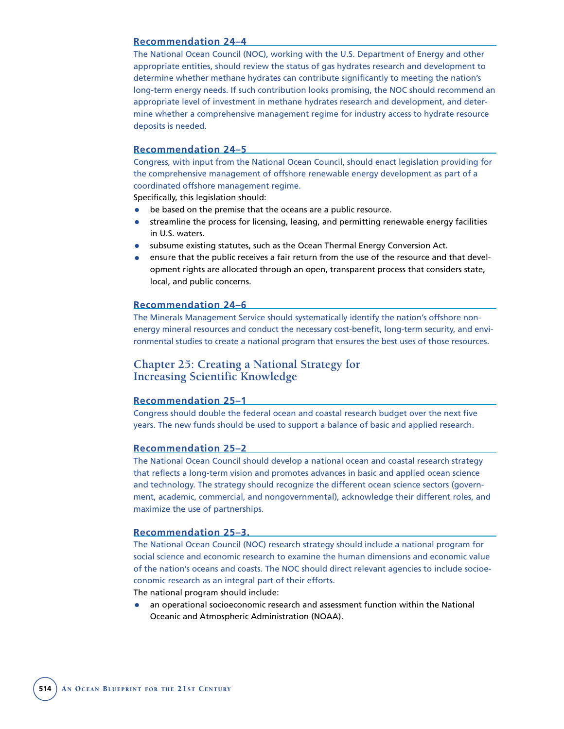#### **Recommendation 24–4**

The National Ocean Council (NOC), working with the U.S. Department of Energy and other appropriate entities, should review the status of gas hydrates research and development to determine whether methane hydrates can contribute significantly to meeting the nation's long-term energy needs. If such contribution looks promising, the NOC should recommend an appropriate level of investment in methane hydrates research and development, and determine whether a comprehensive management regime for industry access to hydrate resource deposits is needed.

#### **Recommendation 24–5**

Congress, with input from the National Ocean Council, should enact legislation providing for the comprehensive management of offshore renewable energy development as part of a coordinated offshore management regime.

Specifically, this legislation should:

- be based on the premise that the oceans are a public resource.
- streamline the process for licensing, leasing, and permitting renewable energy facilities in U.S. waters.
- subsume existing statutes, such as the Ocean Thermal Energy Conversion Act.
- ensure that the public receives a fair return from the use of the resource and that development rights are allocated through an open, transparent process that considers state, local, and public concerns.

#### **Recommendation 24–6**

The Minerals Management Service should systematically identify the nation's offshore nonenergy mineral resources and conduct the necessary cost-benefit, long-term security, and environmental studies to create a national program that ensures the best uses of those resources.

# **Chapter 25: Creating a National Strategy for Increasing Scientific Knowledge**

#### **Recommendation 25–1**

Congress should double the federal ocean and coastal research budget over the next five years. The new funds should be used to support a balance of basic and applied research.

#### **Recommendation 25–2**

The National Ocean Council should develop a national ocean and coastal research strategy that reflects a long-term vision and promotes advances in basic and applied ocean science and technology. The strategy should recognize the different ocean science sectors (government, academic, commercial, and nongovernmental), acknowledge their different roles, and maximize the use of partnerships.

#### **Recommendation 25–3.**

The National Ocean Council (NOC) research strategy should include a national program for social science and economic research to examine the human dimensions and economic value of the nation's oceans and coasts. The NOC should direct relevant agencies to include socioeconomic research as an integral part of their efforts.

The national program should include:

• an operational socioeconomic research and assessment function within the National Oceanic and Atmospheric Administration (NOAA).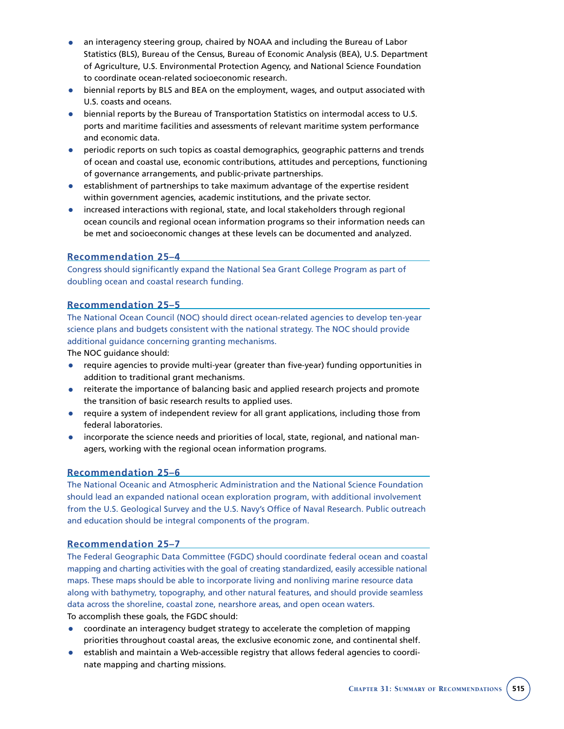- an interagency steering group, chaired by NOAA and including the Bureau of Labor Statistics (BLS), Bureau of the Census, Bureau of Economic Analysis (BEA), U.S. Department of Agriculture, U.S. Environmental Protection Agency, and National Science Foundation to coordinate ocean-related socioeconomic research.
- biennial reports by BLS and BEA on the employment, wages, and output associated with U.S. coasts and oceans.
- biennial reports by the Bureau of Transportation Statistics on intermodal access to U.S. ports and maritime facilities and assessments of relevant maritime system performance and economic data.
- periodic reports on such topics as coastal demographics, geographic patterns and trends of ocean and coastal use, economic contributions, attitudes and perceptions, functioning of governance arrangements, and public-private partnerships.
- establishment of partnerships to take maximum advantage of the expertise resident within government agencies, academic institutions, and the private sector.
- increased interactions with regional, state, and local stakeholders through regional ocean councils and regional ocean information programs so their information needs can be met and socioeconomic changes at these levels can be documented and analyzed.

# **Recommendation 25–4**

Congress should significantly expand the National Sea Grant College Program as part of doubling ocean and coastal research funding.

# **Recommendation 25–5**

The National Ocean Council (NOC) should direct ocean-related agencies to develop ten-year science plans and budgets consistent with the national strategy. The NOC should provide additional guidance concerning granting mechanisms.

The NOC guidance should:

- require agencies to provide multi-year (greater than five-year) funding opportunities in addition to traditional grant mechanisms.
- reiterate the importance of balancing basic and applied research projects and promote the transition of basic research results to applied uses.
- require a system of independent review for all grant applications, including those from federal laboratories.
- incorporate the science needs and priorities of local, state, regional, and national managers, working with the regional ocean information programs.

# **Recommendation 25–6**

The National Oceanic and Atmospheric Administration and the National Science Foundation should lead an expanded national ocean exploration program, with additional involvement from the U.S. Geological Survey and the U.S. Navy's Office of Naval Research. Public outreach and education should be integral components of the program.

# **Recommendation 25–7**

The Federal Geographic Data Committee (FGDC) should coordinate federal ocean and coastal mapping and charting activities with the goal of creating standardized, easily accessible national maps. These maps should be able to incorporate living and nonliving marine resource data along with bathymetry, topography, and other natural features, and should provide seamless data across the shoreline, coastal zone, nearshore areas, and open ocean waters. To accomplish these goals, the FGDC should:

- coordinate an interagency budget strategy to accelerate the completion of mapping priorities throughout coastal areas, the exclusive economic zone, and continental shelf.
- establish and maintain a Web-accessible registry that allows federal agencies to coordinate mapping and charting missions.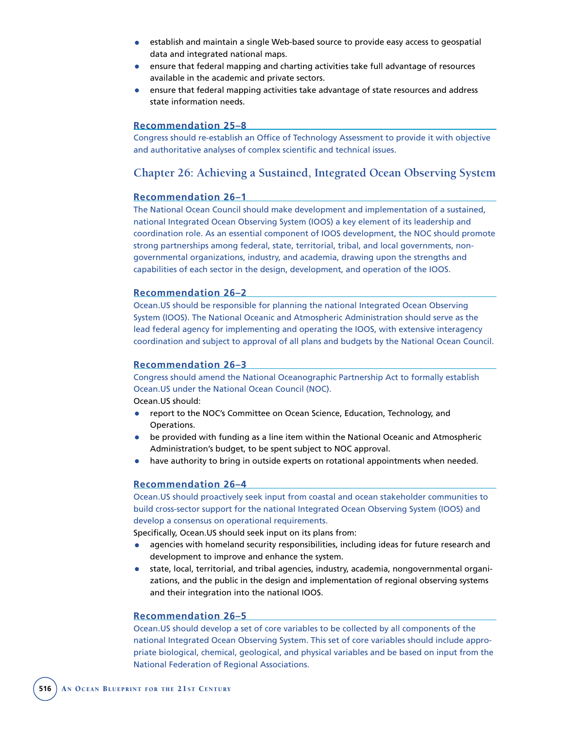- establish and maintain a single Web-based source to provide easy access to geospatial data and integrated national maps.
- ensure that federal mapping and charting activities take full advantage of resources available in the academic and private sectors.
- ensure that federal mapping activities take advantage of state resources and address state information needs.

#### **Recommendation 25–8**

Congress should re-establish an Office of Technology Assessment to provide it with objective and authoritative analyses of complex scientific and technical issues.

# **Chapter 26: Achieving a Sustained, Integrated Ocean Observing System**

#### **Recommendation 26–1**

The National Ocean Council should make development and implementation of a sustained, national Integrated Ocean Observing System (IOOS) a key element of its leadership and coordination role. As an essential component of IOOS development, the NOC should promote strong partnerships among federal, state, territorial, tribal, and local governments, nongovernmental organizations, industry, and academia, drawing upon the strengths and capabilities of each sector in the design, development, and operation of the IOOS.

#### **Recommendation 26–2**

Ocean.US should be responsible for planning the national Integrated Ocean Observing System (IOOS). The National Oceanic and Atmospheric Administration should serve as the lead federal agency for implementing and operating the IOOS, with extensive interagency coordination and subject to approval of all plans and budgets by the National Ocean Council.

#### **Recommendation 26–3**

Congress should amend the National Oceanographic Partnership Act to formally establish Ocean.US under the National Ocean Council (NOC).

Ocean.US should:

- report to the NOC's Committee on Ocean Science, Education, Technology, and Operations.
- be provided with funding as a line item within the National Oceanic and Atmospheric Administration's budget, to be spent subject to NOC approval.
- have authority to bring in outside experts on rotational appointments when needed.

#### **Recommendation 26–4**

Ocean.US should proactively seek input from coastal and ocean stakeholder communities to build cross-sector support for the national Integrated Ocean Observing System (IOOS) and develop a consensus on operational requirements.

Specifically, Ocean.US should seek input on its plans from:

- agencies with homeland security responsibilities, including ideas for future research and development to improve and enhance the system.
- state, local, territorial, and tribal agencies, industry, academia, nongovernmental organizations, and the public in the design and implementation of regional observing systems and their integration into the national IOOS.

#### **Recommendation 26–5**

Ocean.US should develop a set of core variables to be collected by all components of the national Integrated Ocean Observing System. This set of core variables should include appropriate biological, chemical, geological, and physical variables and be based on input from the National Federation of Regional Associations.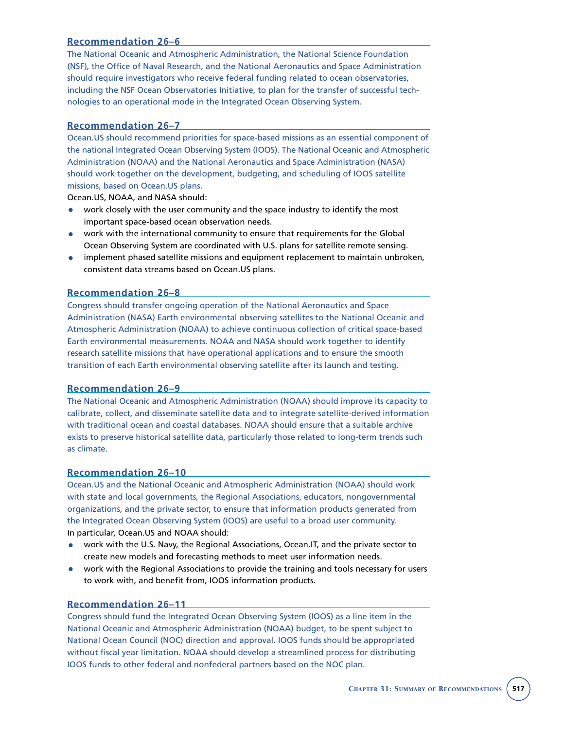# **Recommendation 26–6**

The National Oceanic and Atmospheric Administration, the National Science Foundation (NSF), the Office of Naval Research, and the National Aeronautics and Space Administration should require investigators who receive federal funding related to ocean observatories, including the NSF Ocean Observatories Initiative, to plan for the transfer of successful technologies to an operational mode in the Integrated Ocean Observing System.

#### **Recommendation 26–7**

Ocean.US should recommend priorities for space-based missions as an essential component of the national Integrated Ocean Observing System (IOOS). The National Oceanic and Atmospheric Administration (NOAA) and the National Aeronautics and Space Administration (NASA) should work together on the development, budgeting, and scheduling of IOOS satellite missions, based on Ocean.US plans.

Ocean.US, NOAA, and NASA should:

- work closely with the user community and the space industry to identify the most important space-based ocean observation needs.
- work with the international community to ensure that requirements for the Global Ocean Observing System are coordinated with U.S. plans for satellite remote sensing.
- implement phased satellite missions and equipment replacement to maintain unbroken, consistent data streams based on Ocean.US plans.

# **Recommendation 26–8**

Congress should transfer ongoing operation of the National Aeronautics and Space Administration (NASA) Earth environmental observing satellites to the National Oceanic and Atmospheric Administration (NOAA) to achieve continuous collection of critical space-based Earth environmental measurements. NOAA and NASA should work together to identify research satellite missions that have operational applications and to ensure the smooth transition of each Earth environmental observing satellite after its launch and testing.

#### **Recommendation 26–9**

The National Oceanic and Atmospheric Administration (NOAA) should improve its capacity to calibrate, collect, and disseminate satellite data and to integrate satellite-derived information with traditional ocean and coastal databases. NOAA should ensure that a suitable archive exists to preserve historical satellite data, particularly those related to long-term trends such as climate.

#### **Recommendation 26–10**

Ocean.US and the National Oceanic and Atmospheric Administration (NOAA) should work with state and local governments, the Regional Associations, educators, nongovernmental organizations, and the private sector, to ensure that information products generated from the Integrated Ocean Observing System (IOOS) are useful to a broad user community. In particular, Ocean.US and NOAA should:

- work with the U.S. Navy, the Regional Associations, Ocean.IT, and the private sector to create new models and forecasting methods to meet user information needs.
- work with the Regional Associations to provide the training and tools necessary for users to work with, and benefit from, IOOS information products.

# **Recommendation 26–11**

Congress should fund the Integrated Ocean Observing System (IOOS) as a line item in the National Oceanic and Atmospheric Administration (NOAA) budget, to be spent subject to National Ocean Council (NOC) direction and approval. IOOS funds should be appropriated without fiscal year limitation. NOAA should develop a streamlined process for distributing IOOS funds to other federal and nonfederal partners based on the NOC plan.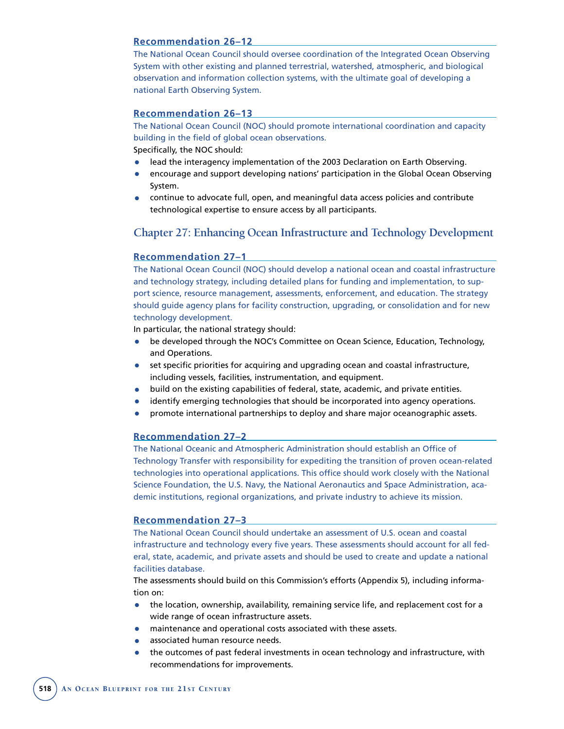#### **Recommendation 26–12**

The National Ocean Council should oversee coordination of the Integrated Ocean Observing System with other existing and planned terrestrial, watershed, atmospheric, and biological observation and information collection systems, with the ultimate goal of developing a national Earth Observing System.

#### **Recommendation 26–13**

The National Ocean Council (NOC) should promote international coordination and capacity building in the field of global ocean observations.

Specifically, the NOC should:

- lead the interagency implementation of the 2003 Declaration on Earth Observing.
- encourage and support developing nations' participation in the Global Ocean Observing System.
- continue to advocate full, open, and meaningful data access policies and contribute technological expertise to ensure access by all participants.

# **Chapter 27: Enhancing Ocean Infrastructure and Technology Development**

#### **Recommendation 27–1**

The National Ocean Council (NOC) should develop a national ocean and coastal infrastructure and technology strategy, including detailed plans for funding and implementation, to support science, resource management, assessments, enforcement, and education. The strategy should guide agency plans for facility construction, upgrading, or consolidation and for new technology development.

In particular, the national strategy should:

- be developed through the NOC's Committee on Ocean Science, Education, Technology, and Operations.
- set specific priorities for acquiring and upgrading ocean and coastal infrastructure, including vessels, facilities, instrumentation, and equipment.
- build on the existing capabilities of federal, state, academic, and private entities.
- identify emerging technologies that should be incorporated into agency operations.
- promote international partnerships to deploy and share major oceanographic assets.

#### **Recommendation 27–2**

The National Oceanic and Atmospheric Administration should establish an Office of Technology Transfer with responsibility for expediting the transition of proven ocean-related technologies into operational applications. This office should work closely with the National Science Foundation, the U.S. Navy, the National Aeronautics and Space Administration, academic institutions, regional organizations, and private industry to achieve its mission.

#### **Recommendation 27–3**

The National Ocean Council should undertake an assessment of U.S. ocean and coastal infrastructure and technology every five years. These assessments should account for all federal, state, academic, and private assets and should be used to create and update a national facilities database.

The assessments should build on this Commission's efforts (Appendix 5), including information on:

- the location, ownership, availability, remaining service life, and replacement cost for a wide range of ocean infrastructure assets.
- maintenance and operational costs associated with these assets.
- associated human resource needs.
- the outcomes of past federal investments in ocean technology and infrastructure, with recommendations for improvements.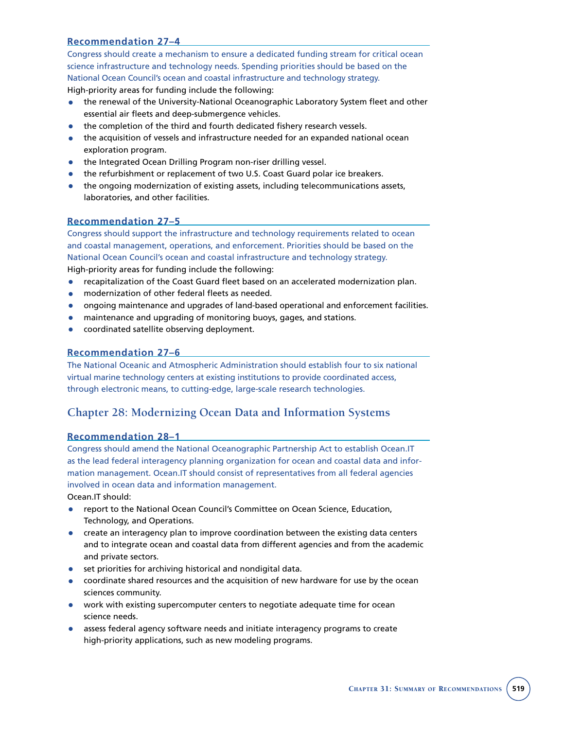# **Recommendation 27–4**

Congress should create a mechanism to ensure a dedicated funding stream for critical ocean science infrastructure and technology needs. Spending priorities should be based on the National Ocean Council's ocean and coastal infrastructure and technology strategy. High-priority areas for funding include the following:

- the renewal of the University-National Oceanographic Laboratory System fleet and other essential air fleets and deep-submergence vehicles.
- the completion of the third and fourth dedicated fishery research vessels.
- the acquisition of vessels and infrastructure needed for an expanded national ocean exploration program.
- the Integrated Ocean Drilling Program non-riser drilling vessel.
- the refurbishment or replacement of two U.S. Coast Guard polar ice breakers.
- the ongoing modernization of existing assets, including telecommunications assets, laboratories, and other facilities.

# **Recommendation 27–5**

Congress should support the infrastructure and technology requirements related to ocean and coastal management, operations, and enforcement. Priorities should be based on the National Ocean Council's ocean and coastal infrastructure and technology strategy.

High-priority areas for funding include the following:

- recapitalization of the Coast Guard fleet based on an accelerated modernization plan.
- modernization of other federal fleets as needed.
- ongoing maintenance and upgrades of land-based operational and enforcement facilities.
- maintenance and upgrading of monitoring buoys, gages, and stations.
- coordinated satellite observing deployment.

# **Recommendation 27–6**

The National Oceanic and Atmospheric Administration should establish four to six national virtual marine technology centers at existing institutions to provide coordinated access, through electronic means, to cutting-edge, large-scale research technologies.

# **Chapter 28: Modernizing Ocean Data and Information Systems**

#### **Recommendation 28–1**

Congress should amend the National Oceanographic Partnership Act to establish Ocean.IT as the lead federal interagency planning organization for ocean and coastal data and information management. Ocean.IT should consist of representatives from all federal agencies involved in ocean data and information management.

Ocean.IT should:

- report to the National Ocean Council's Committee on Ocean Science, Education, Technology, and Operations.
- create an interagency plan to improve coordination between the existing data centers and to integrate ocean and coastal data from different agencies and from the academic and private sectors.
- set priorities for archiving historical and nondigital data.
- coordinate shared resources and the acquisition of new hardware for use by the ocean sciences community.
- work with existing supercomputer centers to negotiate adequate time for ocean science needs.
- assess federal agency software needs and initiate interagency programs to create high-priority applications, such as new modeling programs.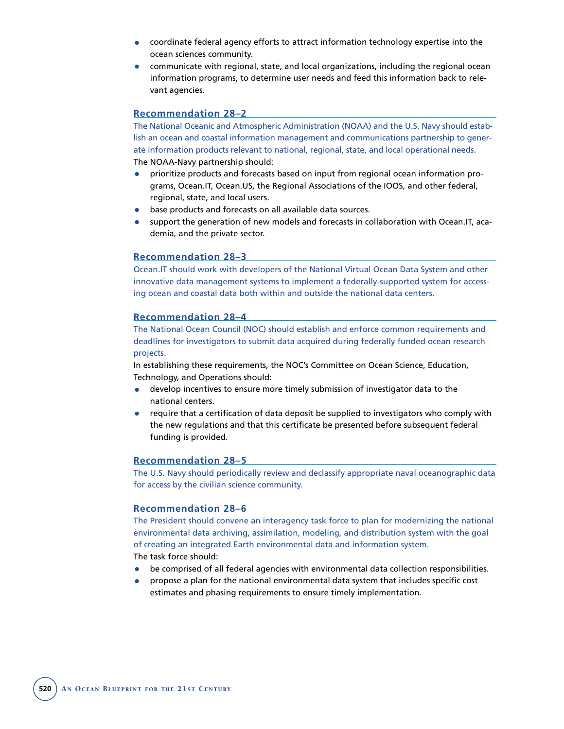- coordinate federal agency efforts to attract information technology expertise into the ocean sciences community.
- communicate with regional, state, and local organizations, including the regional ocean information programs, to determine user needs and feed this information back to relevant agencies.

#### **Recommendation 28–2**

The National Oceanic and Atmospheric Administration (NOAA) and the U.S. Navy should establish an ocean and coastal information management and communications partnership to generate information products relevant to national, regional, state, and local operational needs. The NOAA-Navy partnership should:

- prioritize products and forecasts based on input from regional ocean information programs, Ocean.IT, Ocean.US, the Regional Associations of the IOOS, and other federal, regional, state, and local users.
- base products and forecasts on all available data sources.
- support the generation of new models and forecasts in collaboration with Ocean.IT, academia, and the private sector.

#### **Recommendation 28–3**

Ocean.IT should work with developers of the National Virtual Ocean Data System and other innovative data management systems to implement a federally-supported system for accessing ocean and coastal data both within and outside the national data centers.

#### **Recommendation 28–4**

The National Ocean Council (NOC) should establish and enforce common requirements and deadlines for investigators to submit data acquired during federally funded ocean research projects.

In establishing these requirements, the NOC's Committee on Ocean Science, Education, Technology, and Operations should:

- develop incentives to ensure more timely submission of investigator data to the national centers.
- require that a certification of data deposit be supplied to investigators who comply with the new regulations and that this certificate be presented before subsequent federal funding is provided.

#### **Recommendation 28–5**

The U.S. Navy should periodically review and declassify appropriate naval oceanographic data for access by the civilian science community.

#### **Recommendation 28–6**

The President should convene an interagency task force to plan for modernizing the national environmental data archiving, assimilation, modeling, and distribution system with the goal of creating an integrated Earth environmental data and information system. The task force should:

- be comprised of all federal agencies with environmental data collection responsibilities.
- propose a plan for the national environmental data system that includes specific cost estimates and phasing requirements to ensure timely implementation.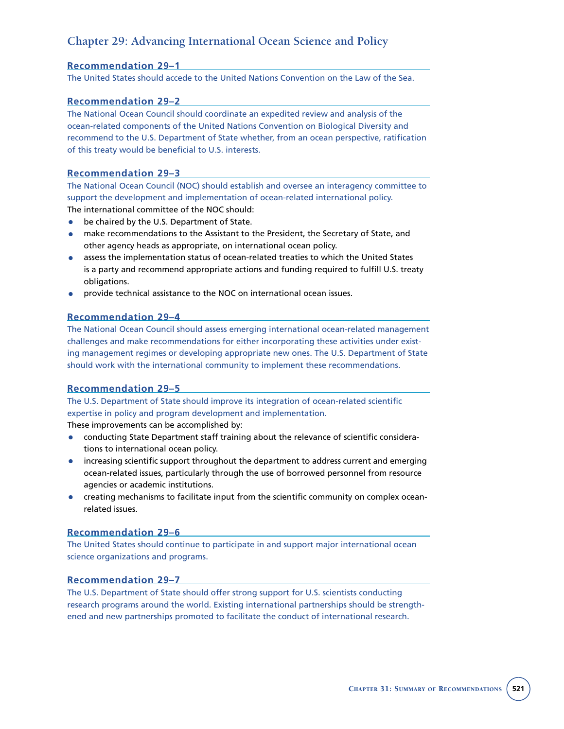# **Chapter 29: Advancing International Ocean Science and Policy**

# **Recommendation 29–1**

The United States should accede to the United Nations Convention on the Law of the Sea.

# **Recommendation 29–2**

The National Ocean Council should coordinate an expedited review and analysis of the ocean-related components of the United Nations Convention on Biological Diversity and recommend to the U.S. Department of State whether, from an ocean perspective, ratification of this treaty would be beneficial to U.S. interests.

# **Recommendation 29–3**

The National Ocean Council (NOC) should establish and oversee an interagency committee to support the development and implementation of ocean-related international policy. The international committee of the NOC should:

- be chaired by the U.S. Department of State.
- make recommendations to the Assistant to the President, the Secretary of State, and other agency heads as appropriate, on international ocean policy.
- assess the implementation status of ocean-related treaties to which the United States is a party and recommend appropriate actions and funding required to fulfill U.S. treaty obligations.
- provide technical assistance to the NOC on international ocean issues.

# **Recommendation 29–4**

The National Ocean Council should assess emerging international ocean-related management challenges and make recommendations for either incorporating these activities under existing management regimes or developing appropriate new ones. The U.S. Department of State should work with the international community to implement these recommendations.

# **Recommendation 29–5**

The U.S. Department of State should improve its integration of ocean-related scientific expertise in policy and program development and implementation. These improvements can be accomplished by:

- conducting State Department staff training about the relevance of scientific considerations to international ocean policy.
- increasing scientific support throughout the department to address current and emerging ocean-related issues, particularly through the use of borrowed personnel from resource agencies or academic institutions.
- creating mechanisms to facilitate input from the scientific community on complex oceanrelated issues.

# **Recommendation 29–6**

The United States should continue to participate in and support major international ocean science organizations and programs.

# **Recommendation 29–7**

The U.S. Department of State should offer strong support for U.S. scientists conducting research programs around the world. Existing international partnerships should be strengthened and new partnerships promoted to facilitate the conduct of international research.